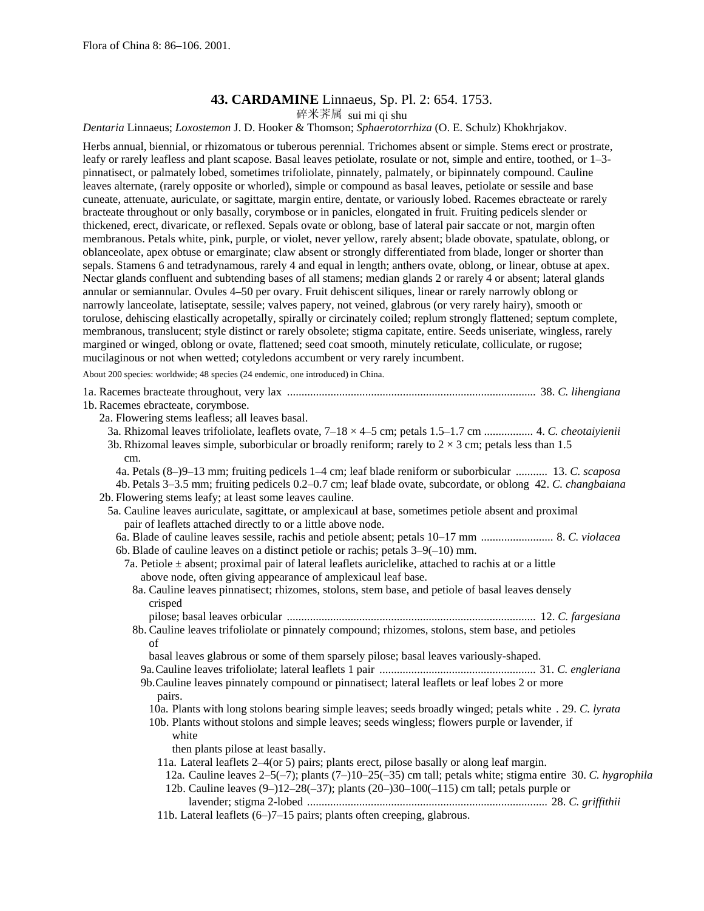# **43. CARDAMINE** Linnaeus, Sp. Pl. 2: 654. 1753.

碎米荠属 sui mi qi shu

*Dentaria* Linnaeus; *Loxostemon* J. D. Hooker & Thomson; *Sphaerotorrhiza* (O. E. Schulz) Khokhrjakov.

Herbs annual, biennial, or rhizomatous or tuberous perennial. Trichomes absent or simple. Stems erect or prostrate, leafy or rarely leafless and plant scapose. Basal leaves petiolate, rosulate or not, simple and entire, toothed, or 1–3 pinnatisect, or palmately lobed, sometimes trifoliolate, pinnately, palmately, or bipinnately compound. Cauline leaves alternate, (rarely opposite or whorled), simple or compound as basal leaves, petiolate or sessile and base cuneate, attenuate, auriculate, or sagittate, margin entire, dentate, or variously lobed. Racemes ebracteate or rarely bracteate throughout or only basally, corymbose or in panicles, elongated in fruit. Fruiting pedicels slender or thickened, erect, divaricate, or reflexed. Sepals ovate or oblong, base of lateral pair saccate or not, margin often membranous. Petals white, pink, purple, or violet, never yellow, rarely absent; blade obovate, spatulate, oblong, or oblanceolate, apex obtuse or emarginate; claw absent or strongly differentiated from blade, longer or shorter than sepals. Stamens 6 and tetradynamous, rarely 4 and equal in length; anthers ovate, oblong, or linear, obtuse at apex. Nectar glands confluent and subtending bases of all stamens; median glands 2 or rarely 4 or absent; lateral glands annular or semiannular. Ovules 4–50 per ovary. Fruit dehiscent siliques, linear or rarely narrowly oblong or narrowly lanceolate, latiseptate, sessile; valves papery, not veined, glabrous (or very rarely hairy), smooth or torulose, dehiscing elastically acropetally, spirally or circinately coiled; replum strongly flattened; septum complete, membranous, translucent; style distinct or rarely obsolete; stigma capitate, entire. Seeds uniseriate, wingless, rarely margined or winged, oblong or ovate, flattened; seed coat smooth, minutely reticulate, colliculate, or rugose; mucilaginous or not when wetted; cotyledons accumbent or very rarely incumbent.

About 200 species: worldwide; 48 species (24 endemic, one introduced) in China.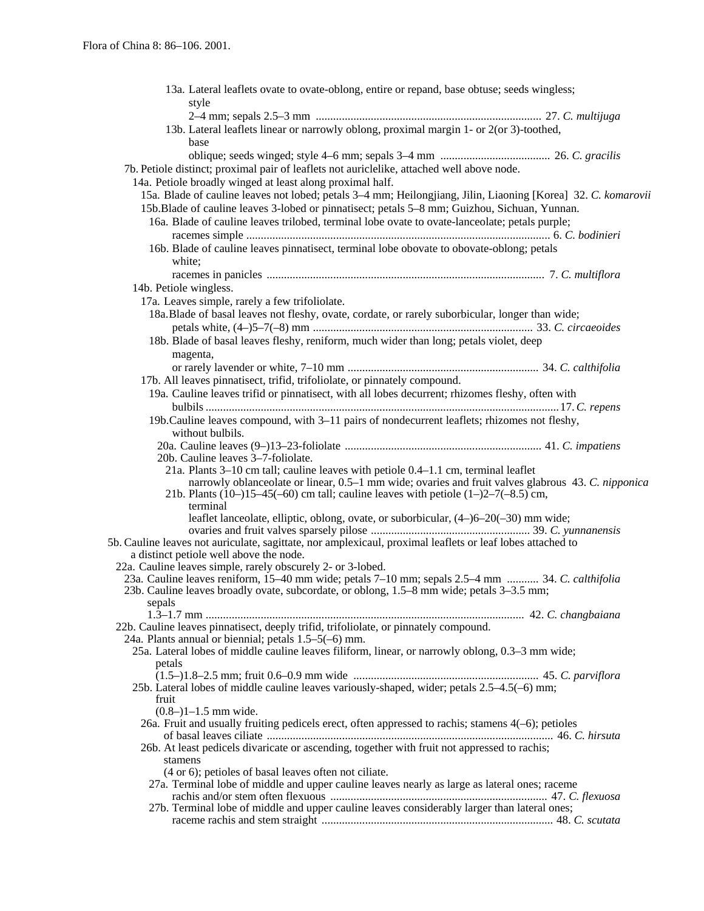| 13a. Lateral leaflets ovate to ovate-oblong, entire or repand, base obtuse; seeds wingless;                   |
|---------------------------------------------------------------------------------------------------------------|
| style                                                                                                         |
|                                                                                                               |
| 13b. Lateral leaflets linear or narrowly oblong, proximal margin 1- or 2(or 3)-toothed,                       |
| base                                                                                                          |
|                                                                                                               |
| 7b. Petiole distinct; proximal pair of leaflets not auriclelike, attached well above node.                    |
| 14a. Petiole broadly winged at least along proximal half.                                                     |
| 15a. Blade of cauline leaves not lobed; petals 3-4 mm; Heilongjiang, Jilin, Liaoning [Korea] 32. C. komarovii |
| 15b. Blade of cauline leaves 3-lobed or pinnatisect; petals 5–8 mm; Guizhou, Sichuan, Yunnan.                 |
| 16a. Blade of cauline leaves trilobed, terminal lobe ovate to ovate-lanceolate; petals purple;                |
|                                                                                                               |
| 16b. Blade of cauline leaves pinnatisect, terminal lobe obovate to obovate-oblong; petals                     |
| white;                                                                                                        |
|                                                                                                               |
| 14b. Petiole wingless.                                                                                        |
| 17a. Leaves simple, rarely a few trifoliolate.                                                                |
| 18a. Blade of basal leaves not fleshy, ovate, cordate, or rarely suborbicular, longer than wide;              |
|                                                                                                               |
| 18b. Blade of basal leaves fleshy, reniform, much wider than long; petals violet, deep                        |
| magenta,                                                                                                      |
|                                                                                                               |
| 17b. All leaves pinnatisect, trifid, trifoliolate, or pinnately compound.                                     |
| 19a. Cauline leaves trifid or pinnatisect, with all lobes decurrent; rhizomes fleshy, often with              |
|                                                                                                               |
| 19b. Cauline leaves compound, with 3–11 pairs of nondecurrent leaflets; rhizomes not fleshy,                  |
| without bulbils.                                                                                              |
|                                                                                                               |
| 20b. Cauline leaves 3-7-foliolate.                                                                            |
| 21a. Plants 3–10 cm tall; cauline leaves with petiole 0.4–1.1 cm, terminal leaflet                            |
| narrowly oblanceolate or linear, 0.5–1 mm wide; ovaries and fruit valves glabrous 43. C. nipponica            |
| 21b. Plants (10–)15–45(–60) cm tall; cauline leaves with petiole $(1–)2–7(-8.5)$ cm,<br>terminal              |
| leaflet lanceolate, elliptic, oblong, ovate, or suborbicular, (4–)6–20(–30) mm wide;                          |
|                                                                                                               |
| 5b. Cauline leaves not auriculate, sagittate, nor amplexicaul, proximal leaflets or leaf lobes attached to    |
| a distinct petiole well above the node.                                                                       |
| 22a. Cauline leaves simple, rarely obscurely 2- or 3-lobed.                                                   |
| 23a. Cauline leaves reniform, 15–40 mm wide; petals 7–10 mm; sepals 2.5–4 mm  34. C. calthifolia              |
| 23b. Cauline leaves broadly ovate, subcordate, or oblong, 1.5–8 mm wide; petals 3–3.5 mm;                     |
| sepals                                                                                                        |
| 22b. Cauline leaves pinnatisect, deeply trifid, trifoliolate, or pinnately compound.                          |
| 24a. Plants annual or biennial; petals $1.5-5(-6)$ mm.                                                        |
| 25a. Lateral lobes of middle cauline leaves filiform, linear, or narrowly oblong, 0.3–3 mm wide;              |
| petals                                                                                                        |
|                                                                                                               |
| 25b. Lateral lobes of middle cauline leaves variously-shaped, wider; petals 2.5–4.5(-6) mm;                   |
| fruit                                                                                                         |
| $(0.8-1)1-1.5$ mm wide.                                                                                       |
| 26a. Fruit and usually fruiting pedicels erect, often appressed to rachis; stamens 4(-6); petioles            |
| 26b. At least pedicels divaricate or ascending, together with fruit not appressed to rachis;                  |
| stamens                                                                                                       |
| (4 or 6); petioles of basal leaves often not ciliate.                                                         |
| 27a. Terminal lobe of middle and upper cauline leaves nearly as large as lateral ones; raceme                 |
|                                                                                                               |
| 27b. Terminal lobe of middle and upper cauline leaves considerably larger than lateral ones;                  |
|                                                                                                               |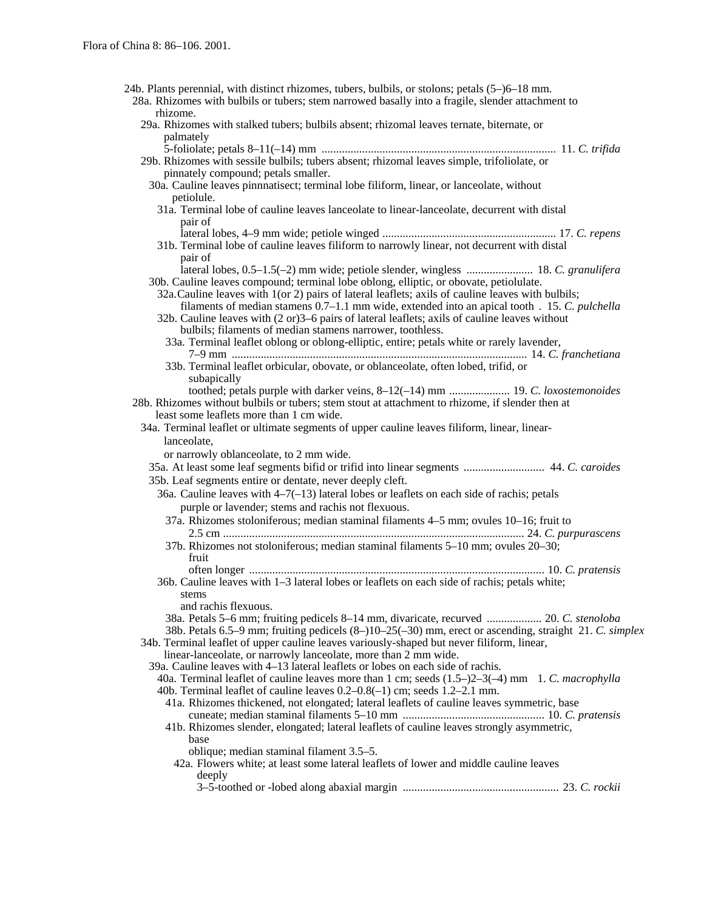| 24b. Plants perennial, with distinct rhizomes, tubers, bulbils, or stolons; petals (5–)6–18 mm.<br>28a. Rhizomes with bulbils or tubers; stem narrowed basally into a fragile, slender attachment to<br>rhizome.                                                                                                                                                                                                                                                        |
|-------------------------------------------------------------------------------------------------------------------------------------------------------------------------------------------------------------------------------------------------------------------------------------------------------------------------------------------------------------------------------------------------------------------------------------------------------------------------|
| 29a. Rhizomes with stalked tubers; bulbils absent; rhizomal leaves ternate, biternate, or<br>palmately                                                                                                                                                                                                                                                                                                                                                                  |
| 29b. Rhizomes with sessile bulbils; tubers absent; rhizomal leaves simple, trifoliolate, or                                                                                                                                                                                                                                                                                                                                                                             |
| pinnately compound; petals smaller.<br>30a. Cauline leaves pinnnatisect; terminal lobe filiform, linear, or lanceolate, without                                                                                                                                                                                                                                                                                                                                         |
| petiolule.<br>31a. Terminal lobe of cauline leaves lanceolate to linear-lanceolate, decurrent with distal                                                                                                                                                                                                                                                                                                                                                               |
| pair of<br>31b. Terminal lobe of cauline leaves filiform to narrowly linear, not decurrent with distal<br>pair of                                                                                                                                                                                                                                                                                                                                                       |
| 30b. Cauline leaves compound; terminal lobe oblong, elliptic, or obovate, petiolulate.<br>32a. Cauline leaves with 1 (or 2) pairs of lateral leaflets; axils of cauline leaves with bulbils;<br>filaments of median stamens 0.7–1.1 mm wide, extended into an apical tooth . 15. C. pulchella<br>32b. Cauline leaves with $(2 \text{ or } )3-6$ pairs of lateral leaflets; axils of cauline leaves without<br>bulbils; filaments of median stamens narrower, toothless. |
| 33a. Terminal leaflet oblong or oblong-elliptic, entire; petals white or rarely lavender,                                                                                                                                                                                                                                                                                                                                                                               |
| 33b. Terminal leaflet orbicular, obovate, or oblanceolate, often lobed, trifid, or<br>subapically<br>toothed; petals purple with darker veins, 8–12(-14) mm  19. C. loxostemonoides                                                                                                                                                                                                                                                                                     |
| 28b. Rhizomes without bulbils or tubers; stem stout at attachment to rhizome, if slender then at<br>least some leaflets more than 1 cm wide.                                                                                                                                                                                                                                                                                                                            |
| 34a. Terminal leaflet or ultimate segments of upper cauline leaves filiform, linear, linear-<br>lanceolate,                                                                                                                                                                                                                                                                                                                                                             |
| or narrowly oblanceolate, to 2 mm wide.                                                                                                                                                                                                                                                                                                                                                                                                                                 |
| 35a. At least some leaf segments bifid or trifid into linear segments  44. C. caroides<br>35b. Leaf segments entire or dentate, never deeply cleft.                                                                                                                                                                                                                                                                                                                     |
| 36a. Cauline leaves with $4-7(-13)$ lateral lobes or leaflets on each side of rachis; petals                                                                                                                                                                                                                                                                                                                                                                            |
| purple or lavender; stems and rachis not flexuous.                                                                                                                                                                                                                                                                                                                                                                                                                      |
| 37a. Rhizomes stoloniferous; median staminal filaments 4-5 mm; ovules 10-16; fruit to                                                                                                                                                                                                                                                                                                                                                                                   |
|                                                                                                                                                                                                                                                                                                                                                                                                                                                                         |
| 37b. Rhizomes not stoloniferous; median staminal filaments 5–10 mm; ovules 20–30;                                                                                                                                                                                                                                                                                                                                                                                       |
| fruit                                                                                                                                                                                                                                                                                                                                                                                                                                                                   |
|                                                                                                                                                                                                                                                                                                                                                                                                                                                                         |
| 36b. Cauline leaves with 1–3 lateral lobes or leaflets on each side of rachis; petals white;<br>stems                                                                                                                                                                                                                                                                                                                                                                   |
| and rachis flexuous.                                                                                                                                                                                                                                                                                                                                                                                                                                                    |
| 38a. Petals 5–6 mm; fruiting pedicels 8–14 mm, divaricate, recurved  20. C. stenoloba                                                                                                                                                                                                                                                                                                                                                                                   |
| 38b. Petals 6.5–9 mm; fruiting pedicels (8–)10–25(–30) mm, erect or ascending, straight 21. C. simplex                                                                                                                                                                                                                                                                                                                                                                  |
| 34b. Terminal leaflet of upper cauline leaves variously-shaped but never filiform, linear,<br>linear-lanceolate, or narrowly lanceolate, more than 2 mm wide.                                                                                                                                                                                                                                                                                                           |
| 39a. Cauline leaves with 4–13 lateral leaflets or lobes on each side of rachis.                                                                                                                                                                                                                                                                                                                                                                                         |
| 40a. Terminal leaflet of cauline leaves more than 1 cm; seeds $(1.5-2-3(-4)$ mm 1. C. macrophylla                                                                                                                                                                                                                                                                                                                                                                       |
| 40b. Terminal leaflet of cauline leaves $0.2-0.8(-1)$ cm; seeds $1.2-2.1$ mm.                                                                                                                                                                                                                                                                                                                                                                                           |
| 41a. Rhizomes thickened, not elongated; lateral leaflets of cauline leaves symmetric, base                                                                                                                                                                                                                                                                                                                                                                              |
|                                                                                                                                                                                                                                                                                                                                                                                                                                                                         |
| 41b. Rhizomes slender, elongated; lateral leaflets of cauline leaves strongly asymmetric,                                                                                                                                                                                                                                                                                                                                                                               |
| base                                                                                                                                                                                                                                                                                                                                                                                                                                                                    |
| oblique; median staminal filament 3.5–5.                                                                                                                                                                                                                                                                                                                                                                                                                                |
| 42a. Flowers white; at least some lateral leaflets of lower and middle cauline leaves                                                                                                                                                                                                                                                                                                                                                                                   |
| deeply                                                                                                                                                                                                                                                                                                                                                                                                                                                                  |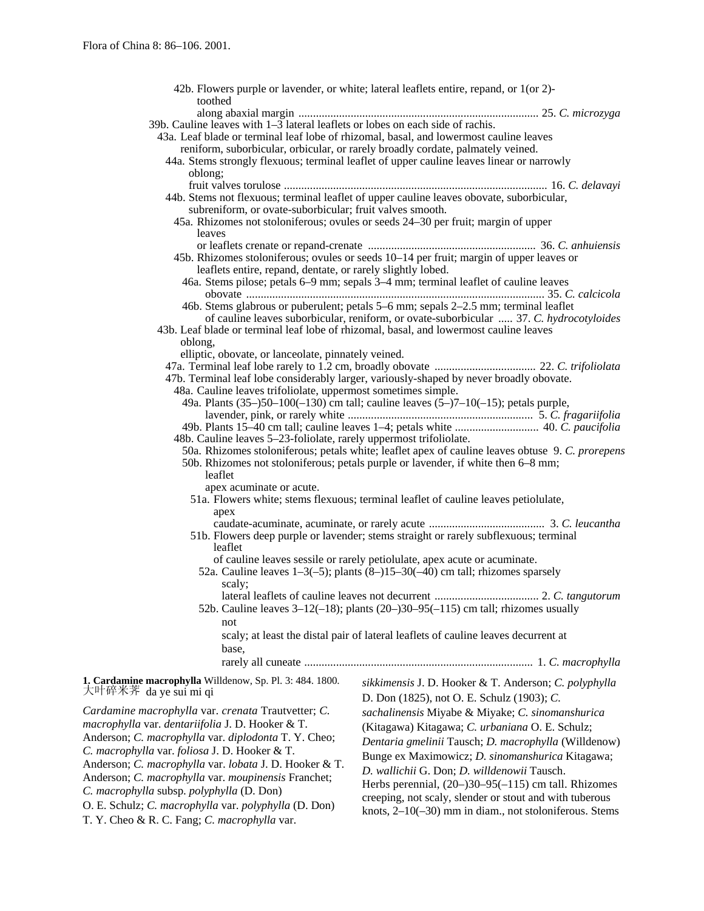| toothed                                                                                                                                            | 42b. Flowers purple or lavender, or white; lateral leaflets entire, repand, or 1(or 2)-          |  |
|----------------------------------------------------------------------------------------------------------------------------------------------------|--------------------------------------------------------------------------------------------------|--|
|                                                                                                                                                    |                                                                                                  |  |
| 39b. Cauline leaves with $1-\overline{3}$ lateral leaflets or lobes on each side of rachis.                                                        |                                                                                                  |  |
| 43a. Leaf blade or terminal leaf lobe of rhizomal, basal, and lowermost cauline leaves                                                             |                                                                                                  |  |
|                                                                                                                                                    | reniform, suborbicular, orbicular, or rarely broadly cordate, palmately veined.                  |  |
| 44a. Stems strongly flexuous; terminal leaflet of upper cauline leaves linear or narrowly                                                          |                                                                                                  |  |
| oblong;                                                                                                                                            |                                                                                                  |  |
|                                                                                                                                                    |                                                                                                  |  |
|                                                                                                                                                    | 44b. Stems not flexuous; terminal leaflet of upper cauline leaves obovate, suborbicular,         |  |
| subreniform, or ovate-suborbicular; fruit valves smooth.                                                                                           |                                                                                                  |  |
|                                                                                                                                                    | 45a. Rhizomes not stoloniferous; ovules or seeds 24–30 per fruit; margin of upper                |  |
| leaves                                                                                                                                             |                                                                                                  |  |
|                                                                                                                                                    |                                                                                                  |  |
|                                                                                                                                                    | 45b. Rhizomes stoloniferous; ovules or seeds 10–14 per fruit; margin of upper leaves or          |  |
|                                                                                                                                                    |                                                                                                  |  |
| leaflets entire, repand, dentate, or rarely slightly lobed.<br>46a. Stems pilose; petals 6–9 mm; sepals 3–4 mm; terminal leaflet of cauline leaves |                                                                                                  |  |
|                                                                                                                                                    |                                                                                                  |  |
|                                                                                                                                                    |                                                                                                  |  |
|                                                                                                                                                    | 46b. Stems glabrous or puberulent; petals 5–6 mm; sepals 2–2.5 mm; terminal leaflet              |  |
|                                                                                                                                                    | of cauline leaves suborbicular, reniform, or ovate-suborbicular  37. C. hydrocotyloides          |  |
| 43b. Leaf blade or terminal leaf lobe of rhizomal, basal, and lowermost cauline leaves                                                             |                                                                                                  |  |
| oblong,                                                                                                                                            |                                                                                                  |  |
| elliptic, obovate, or lanceolate, pinnately veined.                                                                                                |                                                                                                  |  |
|                                                                                                                                                    |                                                                                                  |  |
| 47b. Terminal leaf lobe considerably larger, variously-shaped by never broadly obovate.                                                            |                                                                                                  |  |
| 48a. Cauline leaves trifoliolate, uppermost sometimes simple.                                                                                      |                                                                                                  |  |
|                                                                                                                                                    | 49a. Plants (35–)50–100(–130) cm tall; cauline leaves (5–)7–10(–15); petals purple,              |  |
|                                                                                                                                                    |                                                                                                  |  |
|                                                                                                                                                    |                                                                                                  |  |
| 48b. Cauline leaves 5-23-foliolate, rarely uppermost trifoliolate.                                                                                 |                                                                                                  |  |
|                                                                                                                                                    | 50a. Rhizomes stoloniferous; petals white; leaflet apex of cauline leaves obtuse 9. C. prorepens |  |
|                                                                                                                                                    | 50b. Rhizomes not stoloniferous; petals purple or lavender, if white then 6–8 mm;                |  |
| leaflet                                                                                                                                            |                                                                                                  |  |
| apex acuminate or acute.                                                                                                                           |                                                                                                  |  |
|                                                                                                                                                    | 51a. Flowers white; stems flexuous; terminal leaflet of cauline leaves petiolulate,              |  |
| apex                                                                                                                                               |                                                                                                  |  |
|                                                                                                                                                    |                                                                                                  |  |
| 51b. Flowers deep purple or lavender; stems straight or rarely subflexuous; terminal                                                               |                                                                                                  |  |
| leaflet                                                                                                                                            |                                                                                                  |  |
|                                                                                                                                                    | of cauline leaves sessile or rarely petiolulate, apex acute or acuminate.                        |  |
|                                                                                                                                                    | 52a. Cauline leaves $1-3(-5)$ ; plants $(8-15-30(-40))$ cm tall; rhizomes sparsely               |  |
| scaly;                                                                                                                                             |                                                                                                  |  |
|                                                                                                                                                    |                                                                                                  |  |
|                                                                                                                                                    | 52b. Cauline leaves $3-12(-18)$ ; plants (20-)30-95(-115) cm tall; rhizomes usually              |  |
|                                                                                                                                                    |                                                                                                  |  |
| not                                                                                                                                                |                                                                                                  |  |
|                                                                                                                                                    | scaly; at least the distal pair of lateral leaflets of cauline leaves decurrent at               |  |
| base,                                                                                                                                              |                                                                                                  |  |
|                                                                                                                                                    |                                                                                                  |  |
|                                                                                                                                                    |                                                                                                  |  |
| 1. Cardamine macrophylla Willdenow, Sp. Pl. 3: 484. 1800.                                                                                          | sikkimensis J. D. Hooker & T. Anderson; C. polyphylla                                            |  |
| 大叶碎米荠 da ye sui mi qi                                                                                                                              | D. Don (1825), not O. E. Schulz (1903); C.                                                       |  |
| Cardamine macrophylla var. crenata Trautvetter; C.                                                                                                 | sachalinensis Miyabe & Miyake; C. sinomanshurica                                                 |  |
| macrophylla var. dentariifolia J. D. Hooker & T.                                                                                                   |                                                                                                  |  |
|                                                                                                                                                    | (Kitagawa) Kitagawa; C. urbaniana O. E. Schulz;                                                  |  |
| Anderson; C. macrophylla var. diplodonta T. Y. Cheo;                                                                                               | Dentaria gmelinii Tausch; D. macrophylla (Willdenow)                                             |  |
| C. macrophylla var. foliosa J. D. Hooker & T.                                                                                                      | Bunge ex Maximowicz; D. sinomanshurica Kitagawa;                                                 |  |
| Anderson; C. macrophylla var. lobata J. D. Hooker & T.                                                                                             | D. wallichii G. Don; D. willdenowii Tausch.                                                      |  |
| Anderson; C. macrophylla var. moupinensis Franchet;                                                                                                | Herbs perennial, $(20-)30-95(-115)$ cm tall. Rhizomes                                            |  |
| C. macrophylla subsp. polyphylla (D. Don)                                                                                                          |                                                                                                  |  |
| O. E. Schulz; C. macrophylla var. polyphylla (D. Don)                                                                                              | creeping, not scaly, slender or stout and with tuberous                                          |  |
|                                                                                                                                                    | knots, $2-10(-30)$ mm in diam., not stoloniferous. Stems                                         |  |

T. Y. Cheo & R. C. Fang; *C. macrophylla* var.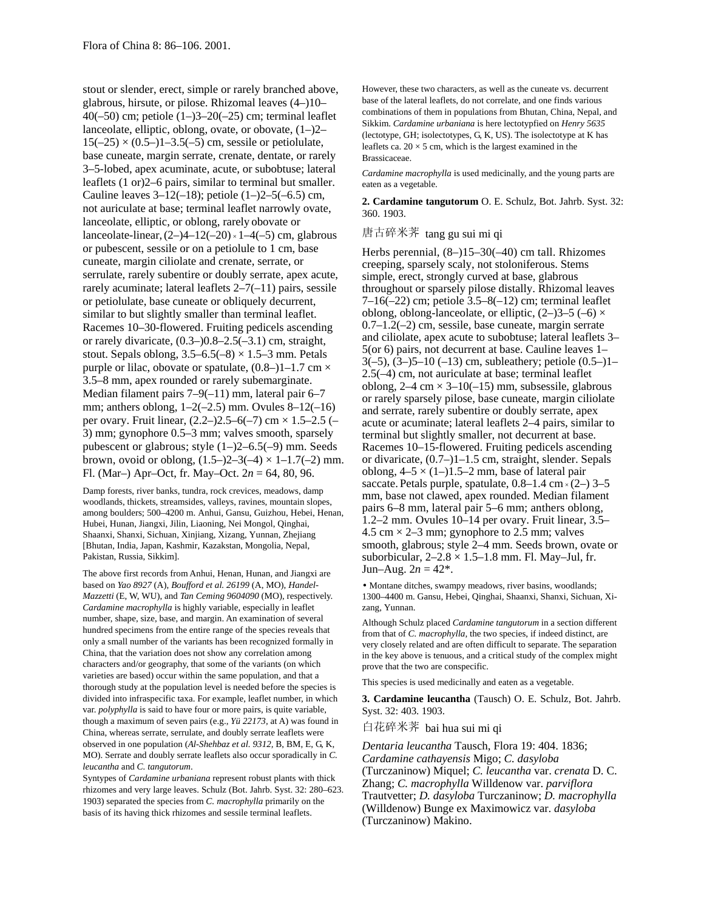stout or slender, erect, simple or rarely branched above, glabrous, hirsute, or pilose. Rhizomal leaves (4–)10– 40( $-50$ ) cm; petiole (1 $-$ )3 $-20$ ( $-25$ ) cm; terminal leaflet lanceolate, elliptic, oblong, ovate, or obovate, (1–)2–  $15(-25) \times (0.5-11-3.5(-5) \text{ cm}$ , sessile or petiolulate, base cuneate, margin serrate, crenate, dentate, or rarely 3–5-lobed, apex acuminate, acute, or subobtuse; lateral leaflets (1 or)2–6 pairs, similar to terminal but smaller. Cauline leaves  $3-12(-18)$ ; petiole  $(1-2-5(-6.5)$  cm, not auriculate at base; terminal leaflet narrowly ovate, lanceolate, elliptic, or oblong, rarely obovate or lanceolate-linear,  $(2-)4-12(-20) \times 1-4(-5)$  cm, glabrous or pubescent, sessile or on a petiolule to 1 cm, base cuneate, margin ciliolate and crenate, serrate, or serrulate, rarely subentire or doubly serrate, apex acute, rarely acuminate; lateral leaflets 2–7(–11) pairs, sessile or petiolulate, base cuneate or obliquely decurrent, similar to but slightly smaller than terminal leaflet. Racemes 10–30-flowered. Fruiting pedicels ascending or rarely divaricate, (0.3–)0.8–2.5(–3.1) cm, straight, stout. Sepals oblong,  $3.5-6.5(-8) \times 1.5-3$  mm. Petals purple or lilac, obovate or spatulate,  $(0.8-1)1-1.7$  cm  $\times$ 3.5–8 mm, apex rounded or rarely subemarginate. Median filament pairs 7–9(–11) mm, lateral pair 6–7 mm; anthers oblong,  $1-2(-2.5)$  mm. Ovules  $8-12(-16)$ per ovary. Fruit linear,  $(2.2-)2.5-6(-7)$  cm  $\times$  1.5–2.5 (– 3) mm; gynophore 0.5–3 mm; valves smooth, sparsely pubescent or glabrous; style (1–)2–6.5(–9) mm. Seeds brown, ovoid or oblong,  $(1.5-2-3(-4) \times 1-1.7(-2)$  mm. Fl. (Mar–) Apr–Oct, fr. May–Oct. 2*n* = 64, 80, 96.

Damp forests, river banks, tundra, rock crevices, meadows, damp woodlands, thickets, streamsides, valleys, ravines, mountain slopes, among boulders; 500–4200 m. Anhui, Gansu, Guizhou, Hebei, Henan, Hubei, Hunan, Jiangxi, Jilin, Liaoning, Nei Mongol, Qinghai, Shaanxi, Shanxi, Sichuan, Xinjiang, Xizang, Yunnan, Zhejiang [Bhutan, India, Japan, Kashmir, Kazakstan, Mongolia, Nepal, Pakistan, Russia, Sikkim].

The above first records from Anhui, Henan, Hunan, and Jiangxi are based on *Yao 8927* (A), *Boufford et al. 26199* (A, MO), *Handel-Mazzetti* (E, W, WU), and *Tan Ceming 9604090* (MO), respectively. *Cardamine macrophylla* is highly variable, especially in leaflet number, shape, size, base, and margin. An examination of several hundred specimens from the entire range of the species reveals that only a small number of the variants has been recognized formally in China, that the variation does not show any correlation among characters and/or geography, that some of the variants (on which varieties are based) occur within the same population, and that a thorough study at the population level is needed before the species is divided into infraspecific taxa. For example, leaflet number, in which var. *polyphylla* is said to have four or more pairs, is quite variable, though a maximum of seven pairs (e.g., *Yü 22173,* at A) was found in China, whereas serrate, serrulate, and doubly serrate leaflets were observed in one population (*Al-Shehbaz et al. 9312,* B, BM, E, G, K, MO). Serrate and doubly serrate leaflets also occur sporadically in *C. leucantha* and *C. tangutorum*.

Syntypes of *Cardamine urbaniana* represent robust plants with thick rhizomes and very large leaves. Schulz (Bot. Jahrb. Syst. 32: 280–623. 1903) separated the species from *C. macrophylla* primarily on the basis of its having thick rhizomes and sessile terminal leaflets.

However, these two characters, as well as the cuneate vs. decurrent base of the lateral leaflets, do not correlate, and one finds various combinations of them in populations from Bhutan, China, Nepal, and Sikkim. *Cardamine urbaniana* is here lectotypfied on *Henry 5635* (lectotype, GH; isolectotypes, G, K, US). The isolectotype at K has leaflets ca.  $20 \times 5$  cm, which is the largest examined in the Brassicaceae.

*Cardamine macrophylla* is used medicinally, and the young parts are eaten as a vegetable.

**2. Cardamine tangutorum** O. E. Schulz, Bot. Jahrb. Syst. 32: 360. 1903.

# 唐古碎米荠 tang gu sui mi qi

Herbs perennial, (8–)15–30(–40) cm tall. Rhizomes creeping, sparsely scaly, not stoloniferous. Stems simple, erect, strongly curved at base, glabrous throughout or sparsely pilose distally. Rhizomal leaves  $7-16(-22)$  cm; petiole  $3.5-8(-12)$  cm; terminal leaflet oblong, oblong-lanceolate, or elliptic,  $(2-3-5(-6))$  $0.7-1.2(-2)$  cm, sessile, base cuneate, margin serrate and ciliolate, apex acute to subobtuse; lateral leaflets 3– 5(or 6) pairs, not decurrent at base. Cauline leaves 1–  $3(-5)$ ,  $(3-5-10)$   $(-13)$  cm, subleathery; petiole  $(0.5-1)$ 2.5(–4) cm, not auriculate at base; terminal leaflet oblong,  $2-4$  cm  $\times$  3–10(–15) mm, subsessile, glabrous or rarely sparsely pilose, base cuneate, margin ciliolate and serrate, rarely subentire or doubly serrate, apex acute or acuminate; lateral leaflets 2–4 pairs, similar to terminal but slightly smaller, not decurrent at base. Racemes 10–15-flowered. Fruiting pedicels ascending or divaricate, (0.7–)1–1.5 cm, straight, slender. Sepals oblong,  $4-5 \times (1-)1.5-2$  mm, base of lateral pair saccate. Petals purple, spatulate,  $0.8-1.4 \text{ cm} \times (2-) 3-5$ mm, base not clawed, apex rounded. Median filament pairs 6–8 mm, lateral pair 5–6 mm; anthers oblong, 1.2–2 mm. Ovules 10–14 per ovary. Fruit linear, 3.5– 4.5 cm  $\times$  2–3 mm; gynophore to 2.5 mm; valves smooth, glabrous; style 2–4 mm. Seeds brown, ovate or suborbicular,  $2-2.8 \times 1.5-1.8$  mm. Fl. May-Jul, fr. Jun–Aug.  $2n = 42^*$ .

• Montane ditches, swampy meadows, river basins, woodlands; 1300–4400 m. Gansu, Hebei, Qinghai, Shaanxi, Shanxi, Sichuan, Xizang, Yunnan.

Although Schulz placed *Cardamine tangutorum* in a section different from that of *C. macrophylla,* the two species, if indeed distinct, are very closely related and are often difficult to separate. The separation in the key above is tenuous, and a critical study of the complex might prove that the two are conspecific.

This species is used medicinally and eaten as a vegetable.

**3. Cardamine leucantha** (Tausch) O. E. Schulz, Bot. Jahrb. Syst. 32: 403. 1903.

白花碎米荠 bai hua sui mi qi

*Dentaria leucantha* Tausch, Flora 19: 404. 1836; *Cardamine cathayensis* Migo; *C. dasyloba* (Turczaninow) Miquel; *C. leucantha* var. *crenata* D. C. Zhang; *C. macrophylla* Willdenow var. *parviflora* Trautvetter; *D. dasyloba* Turczaninow; *D. macrophylla* (Willdenow) Bunge ex Maximowicz var. *dasyloba* (Turczaninow) Makino.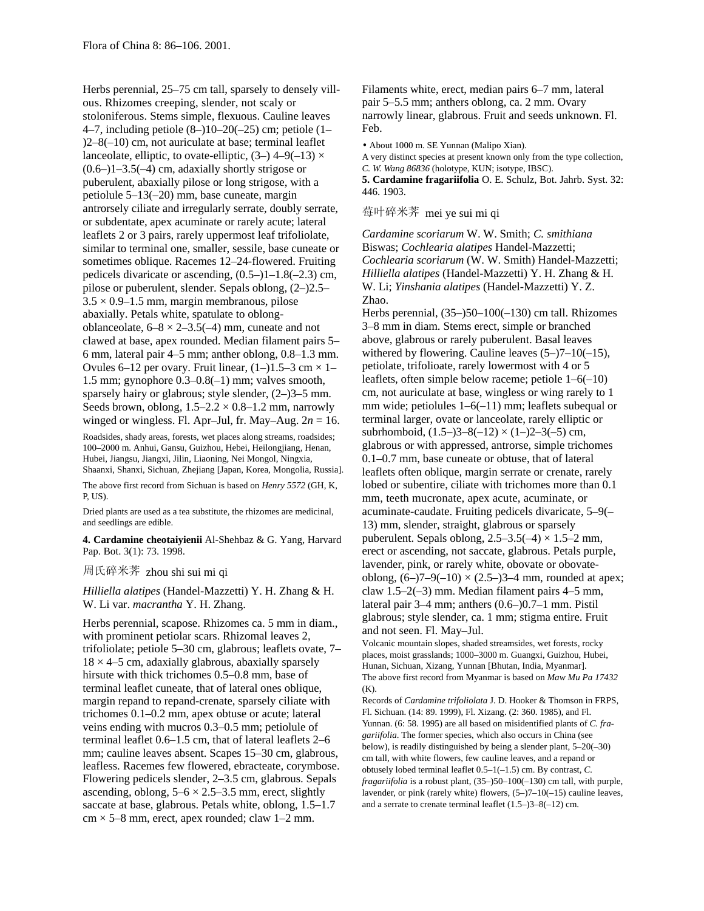Herbs perennial, 25–75 cm tall, sparsely to densely villous. Rhizomes creeping, slender, not scaly or stoloniferous. Stems simple, flexuous. Cauline leaves 4–7, including petiole (8–)10–20(–25) cm; petiole (1– )2–8(–10) cm, not auriculate at base; terminal leaflet lanceolate, elliptic, to ovate-elliptic,  $(3-)$  4–9(-13)  $\times$ (0.6–)1–3.5(–4) cm, adaxially shortly strigose or puberulent, abaxially pilose or long strigose, with a petiolule 5–13(–20) mm, base cuneate, margin antrorsely ciliate and irregularly serrate, doubly serrate, or subdentate, apex acuminate or rarely acute; lateral leaflets 2 or 3 pairs, rarely uppermost leaf trifoliolate, similar to terminal one, smaller, sessile, base cuneate or sometimes oblique. Racemes 12–24-flowered. Fruiting pedicels divaricate or ascending, (0.5–)1–1.8(–2.3) cm, pilose or puberulent, slender. Sepals oblong, (2–)2.5–  $3.5 \times 0.9 - 1.5$  mm, margin membranous, pilose abaxially. Petals white, spatulate to oblongoblanceolate,  $6-8 \times 2-3.5(-4)$  mm, cuneate and not clawed at base, apex rounded. Median filament pairs 5– 6 mm, lateral pair 4–5 mm; anther oblong, 0.8–1.3 mm. Ovules 6–12 per ovary. Fruit linear,  $(1–)1.5–3$  cm  $\times$  1– 1.5 mm; gynophore 0.3–0.8(–1) mm; valves smooth, sparsely hairy or glabrous; style slender,  $(2-)3-5$  mm. Seeds brown, oblong,  $1.5-2.2 \times 0.8-1.2$  mm, narrowly winged or wingless. Fl. Apr–Jul, fr. May–Aug.  $2n = 16$ .

Roadsides, shady areas, forests, wet places along streams, roadsides; 100–2000 m. Anhui, Gansu, Guizhou, Hebei, Heilongjiang, Henan, Hubei, Jiangsu, Jiangxi, Jilin, Liaoning, Nei Mongol, Ningxia, Shaanxi, Shanxi, Sichuan, Zhejiang [Japan, Korea, Mongolia, Russia].

The above first record from Sichuan is based on *Henry 5572* (GH, K, P, US).

Dried plants are used as a tea substitute, the rhizomes are medicinal, and seedlings are edible.

**4. Cardamine cheotaiyienii** Al-Shehbaz & G. Yang, Harvard Pap. Bot. 3(1): 73. 1998.

# 周氏碎米荠 zhou shi sui mi qi

*Hilliella alatipes* (Handel-Mazzetti) Y. H. Zhang & H. W. Li var. *macrantha* Y. H. Zhang.

Herbs perennial, scapose. Rhizomes ca. 5 mm in diam., with prominent petiolar scars. Rhizomal leaves 2, trifoliolate; petiole 5–30 cm, glabrous; leaflets ovate, 7–  $18 \times 4$ –5 cm, adaxially glabrous, abaxially sparsely hirsute with thick trichomes 0.5–0.8 mm, base of terminal leaflet cuneate, that of lateral ones oblique, margin repand to repand-crenate, sparsely ciliate with trichomes 0.1–0.2 mm, apex obtuse or acute; lateral veins ending with mucros 0.3–0.5 mm; petiolule of terminal leaflet 0.6–1.5 cm, that of lateral leaflets 2–6 mm; cauline leaves absent. Scapes 15–30 cm, glabrous, leafless. Racemes few flowered, ebracteate, corymbose. Flowering pedicels slender, 2–3.5 cm, glabrous. Sepals ascending, oblong,  $5-6 \times 2.5-3.5$  mm, erect, slightly saccate at base, glabrous. Petals white, oblong, 1.5–1.7  $cm \times 5-8$  mm, erect, apex rounded; claw 1–2 mm.

Filaments white, erect, median pairs 6–7 mm, lateral pair 5–5.5 mm; anthers oblong, ca. 2 mm. Ovary narrowly linear, glabrous. Fruit and seeds unknown. Fl. Feb.

• About 1000 m. SE Yunnan (Malipo Xian).

A very distinct species at present known only from the type collection, *C. W. Wang 86836* (holotype, KUN; isotype, IBSC).

**5. Cardamine fragariifolia** O. E. Schulz, Bot. Jahrb. Syst. 32: 446. 1903.

# 莓叶碎米荠 mei ye sui mi qi

*Cardamine scoriarum* W. W. Smith; *C. smithiana* Biswas; *Cochlearia alatipes* Handel-Mazzetti; *Cochlearia scoriarum* (W. W. Smith) Handel-Mazzetti; *Hilliella alatipes* (Handel-Mazzetti) Y. H. Zhang & H. W. Li; *Yinshania alatipes* (Handel-Mazzetti) Y. Z. Zhao.

Herbs perennial, (35–)50–100(–130) cm tall. Rhizomes 3–8 mm in diam. Stems erect, simple or branched above, glabrous or rarely puberulent. Basal leaves withered by flowering. Cauline leaves  $(5-7-10(-15))$ , petiolate, trifolioate, rarely lowermost with 4 or 5 leaflets, often simple below raceme; petiole 1–6(–10) cm, not auriculate at base, wingless or wing rarely to 1 mm wide; petiolules 1–6(–11) mm; leaflets subequal or terminal larger, ovate or lanceolate, rarely elliptic or subrhomboid,  $(1.5-3-8(-12) \times (1-2-3(-5))$  cm, glabrous or with appressed, antrorse, simple trichomes 0.1–0.7 mm, base cuneate or obtuse, that of lateral leaflets often oblique, margin serrate or crenate, rarely lobed or subentire, ciliate with trichomes more than 0.1 mm, teeth mucronate, apex acute, acuminate, or acuminate-caudate. Fruiting pedicels divaricate, 5–9(– 13) mm, slender, straight, glabrous or sparsely puberulent. Sepals oblong,  $2.5-3.5(-4) \times 1.5-2$  mm, erect or ascending, not saccate, glabrous. Petals purple, lavender, pink, or rarely white, obovate or obovateoblong,  $(6-7-9(-10) \times (2.5-3) - 4$  mm, rounded at apex; claw  $1.5-2(-3)$  mm. Median filament pairs  $4-5$  mm, lateral pair 3–4 mm; anthers (0.6–)0.7–1 mm. Pistil glabrous; style slender, ca. 1 mm; stigma entire. Fruit and not seen. Fl. May–Jul.

Volcanic mountain slopes, shaded streamsides, wet forests, rocky places, moist grasslands; 1000–3000 m. Guangxi, Guizhou, Hubei, Hunan, Sichuan, Xizang, Yunnan [Bhutan, India, Myanmar]. The above first record from Myanmar is based on *Maw Mu Pa 17432*  $(K)$ .

Records of *Cardamine trifoliolata* J. D. Hooker & Thomson in FRPS, Fl. Sichuan. (14: 89. 1999), Fl. Xizang. (2: 360. 1985), and Fl. Yunnan. (6: 58. 1995) are all based on misidentified plants of *C. fragariifolia*. The former species, which also occurs in China (see below), is readily distinguished by being a slender plant, 5–20(–30) cm tall, with white flowers, few cauline leaves, and a repand or obtusely lobed terminal leaflet 0.5–1(–1.5) cm. By contrast, *C. fragariifolia* is a robust plant, (35–)50–100(–130) cm tall, with purple, lavender, or pink (rarely white) flowers,  $(5-7-10(-15))$  cauline leaves, and a serrate to crenate terminal leaflet (1.5–)3–8(–12) cm.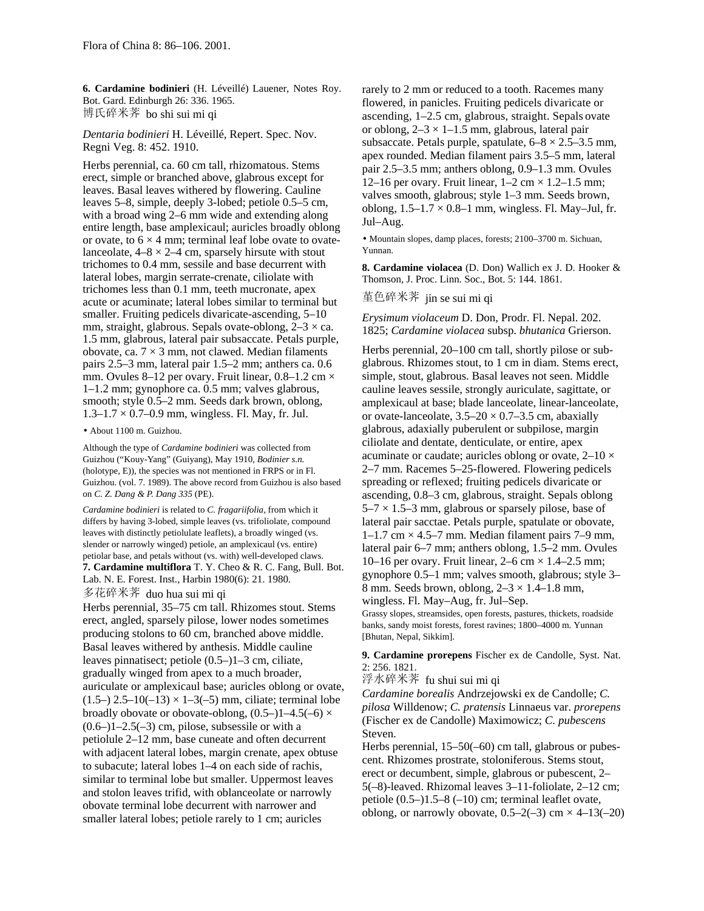**6. Cardamine bodinieri** (H. Léveillé) Lauener, Notes Roy. Bot. Gard. Edinburgh 26: 336. 1965. 博氏碎米荠 bo shi sui mi qi

*Dentaria bodinieri* H. Léveillé, Repert. Spec. Nov. Regni Veg. 8: 452. 1910.

Herbs perennial, ca. 60 cm tall, rhizomatous. Stems erect, simple or branched above, glabrous except for leaves. Basal leaves withered by flowering. Cauline leaves 5–8, simple, deeply 3-lobed; petiole 0.5–5 cm, with a broad wing 2–6 mm wide and extending along entire length, base amplexicaul; auricles broadly oblong or ovate, to  $6 \times 4$  mm; terminal leaf lobe ovate to ovatelanceolate,  $4-8 \times 2-4$  cm, sparsely hirsute with stout trichomes to 0.4 mm, sessile and base decurrent with lateral lobes, margin serrate-crenate, ciliolate with trichomes less than 0.1 mm, teeth mucronate, apex acute or acuminate; lateral lobes similar to terminal but smaller. Fruiting pedicels divaricate-ascending, 5–10 mm, straight, glabrous. Sepals ovate-oblong,  $2-3 \times ca$ . 1.5 mm, glabrous, lateral pair subsaccate. Petals purple, obovate, ca.  $7 \times 3$  mm, not clawed. Median filaments pairs 2.5–3 mm, lateral pair 1.5–2 mm; anthers ca. 0.6 mm. Ovules 8–12 per ovary. Fruit linear,  $0.8$ –1.2 cm  $\times$ 1–1.2 mm; gynophore ca. 0.5 mm; valves glabrous, smooth; style 0.5–2 mm. Seeds dark brown, oblong,  $1.3 - 1.7 \times 0.7 - 0.9$  mm, wingless. Fl. May, fr. Jul.

• About 1100 m. Guizhou.

Although the type of *Cardamine bodinieri* was collected from Guizhou ("Kouy-Yang" (Guiyang), May 1910, *Bodinier s.n.* (holotype, E)), the species was not mentioned in FRPS or in Fl. Guizhou. (vol. 7. 1989). The above record from Guizhou is also based on *C. Z. Dang & P. Dang 335* (PE).

*Cardamine bodinieri* is related to *C. fragariifolia,* from which it differs by having 3-lobed, simple leaves (vs. trifoliolate, compound leaves with distinctly petiolulate leaflets), a broadly winged (vs. slender or narrowly winged) petiole, an amplexicaul (vs. entire) petiolar base, and petals without (vs. with) well-developed claws. **7. Cardamine multiflora** T. Y. Cheo & R. C. Fang, Bull. Bot. Lab. N. E. Forest. Inst., Harbin 1980(6): 21. 1980.

多花碎米荠 duo hua sui mi qi

Herbs perennial, 35–75 cm tall. Rhizomes stout. Stems erect, angled, sparsely pilose, lower nodes sometimes producing stolons to 60 cm, branched above middle. Basal leaves withered by anthesis. Middle cauline leaves pinnatisect; petiole (0.5–)1–3 cm, ciliate, gradually winged from apex to a much broader, auriculate or amplexicaul base; auricles oblong or ovate,  $(1.5-)$  2.5–10(–13)  $\times$  1–3(–5) mm, ciliate; terminal lobe broadly obovate or obovate-oblong,  $(0.5-11-4.5(-6) \times$  $(0.6-11-2.5(-3)$  cm, pilose, subsessile or with a petiolule 2–12 mm, base cuneate and often decurrent with adjacent lateral lobes, margin crenate, apex obtuse to subacute; lateral lobes 1–4 on each side of rachis, similar to terminal lobe but smaller. Uppermost leaves and stolon leaves trifid, with oblanceolate or narrowly obovate terminal lobe decurrent with narrower and smaller lateral lobes; petiole rarely to 1 cm; auricles

rarely to 2 mm or reduced to a tooth. Racemes many flowered, in panicles. Fruiting pedicels divaricate or ascending, 1–2.5 cm, glabrous, straight. Sepals ovate or oblong,  $2-3 \times 1-1.5$  mm, glabrous, lateral pair subsaccate. Petals purple, spatulate,  $6-8 \times 2.5-3.5$  mm, apex rounded. Median filament pairs 3.5–5 mm, lateral pair 2.5–3.5 mm; anthers oblong, 0.9–1.3 mm. Ovules 12–16 per ovary. Fruit linear,  $1-2$  cm  $\times$  1.2–1.5 mm; valves smooth, glabrous; style 1–3 mm. Seeds brown, oblong,  $1.5-1.7 \times 0.8-1$  mm, wingless. Fl. May-Jul, fr. Jul–Aug.

• Mountain slopes, damp places, forests; 2100–3700 m. Sichuan, Yunnan.

**8. Cardamine violacea** (D. Don) Wallich ex J. D. Hooker & Thomson, J. Proc. Linn. Soc., Bot. 5: 144. 1861.

堇色碎米荠 jin se sui mi qi

*Erysimum violaceum* D. Don, Prodr. Fl. Nepal. 202. 1825; *Cardamine violacea* subsp. *bhutanica* Grierson.

Herbs perennial, 20–100 cm tall, shortly pilose or subglabrous. Rhizomes stout, to 1 cm in diam. Stems erect, simple, stout, glabrous. Basal leaves not seen. Middle cauline leaves sessile, strongly auriculate, sagittate, or amplexicaul at base; blade lanceolate, linear-lanceolate, or ovate-lanceolate,  $3.5-20 \times 0.7-3.5$  cm, abaxially glabrous, adaxially puberulent or subpilose, margin ciliolate and dentate, denticulate, or entire, apex acuminate or caudate; auricles oblong or ovate,  $2\n-10 \times$ 2–7 mm. Racemes 5–25-flowered. Flowering pedicels spreading or reflexed; fruiting pedicels divaricate or ascending, 0.8–3 cm, glabrous, straight. Sepals oblong  $5-7 \times 1.5-3$  mm, glabrous or sparsely pilose, base of lateral pair sacctae. Petals purple, spatulate or obovate,  $1-1.7$  cm  $\times$  4.5–7 mm. Median filament pairs 7–9 mm, lateral pair 6–7 mm; anthers oblong, 1.5–2 mm. Ovules 10–16 per ovary. Fruit linear,  $2-6$  cm  $\times$  1.4–2.5 mm; gynophore 0.5–1 mm; valves smooth, glabrous; style 3– 8 mm. Seeds brown, oblong,  $2-3 \times 1.4-1.8$  mm, wingless. Fl. May–Aug, fr. Jul–Sep. Grassy slopes, streamsides, open forests, pastures, thickets, roadside

banks, sandy moist forests, forest ravines; 1800–4000 m. Yunnan [Bhutan, Nepal, Sikkim].

**9. Cardamine prorepens** Fischer ex de Candolle, Syst. Nat. 2: 256. 1821.

浮水碎米荠 fu shui sui mi qi

*Cardamine borealis* Andrzejowski ex de Candolle; *C. pilosa* Willdenow; *C. pratensis* Linnaeus var. *prorepens* (Fischer ex de Candolle) Maximowicz; *C. pubescens* Steven.

Herbs perennial, 15–50(–60) cm tall, glabrous or pubescent. Rhizomes prostrate, stoloniferous. Stems stout, erect or decumbent, simple, glabrous or pubescent, 2– 5(–8)-leaved. Rhizomal leaves 3–11-foliolate, 2–12 cm; petiole (0.5–)1.5–8 (–10) cm; terminal leaflet ovate, oblong, or narrowly obovate,  $0.5-2(-3)$  cm  $\times$  4-13(-20)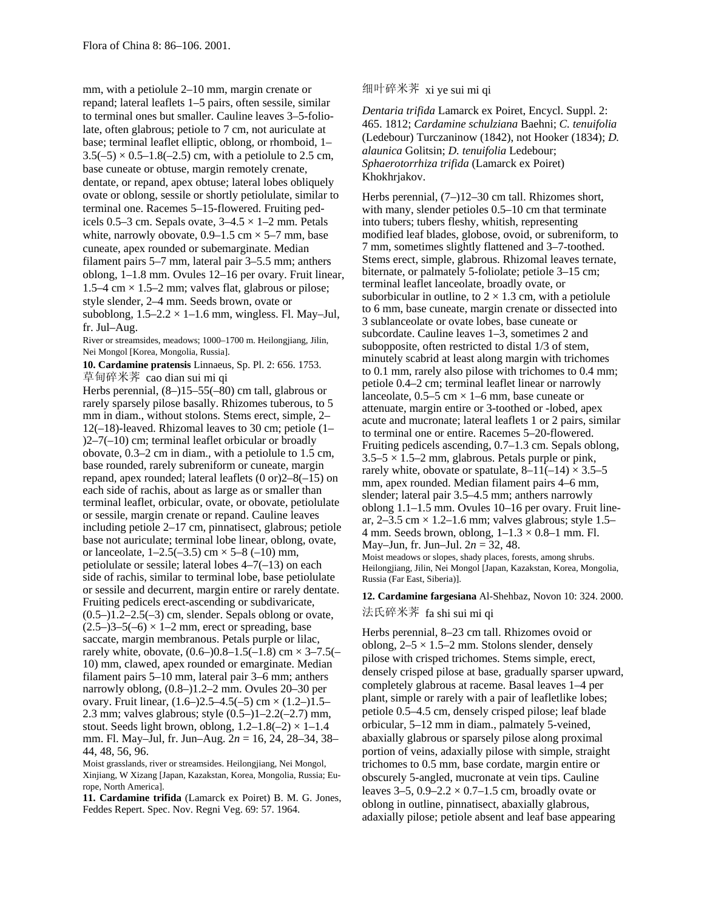mm, with a petiolule 2–10 mm, margin crenate or repand; lateral leaflets 1–5 pairs, often sessile, similar to terminal ones but smaller. Cauline leaves 3–5-foliolate, often glabrous; petiole to 7 cm, not auriculate at base; terminal leaflet elliptic, oblong, or rhomboid, 1–  $3.5(-5) \times 0.5-1.8(-2.5)$  cm, with a petiolule to 2.5 cm, base cuneate or obtuse, margin remotely crenate, dentate, or repand, apex obtuse; lateral lobes obliquely ovate or oblong, sessile or shortly petiolulate, similar to terminal one. Racemes 5–15-flowered. Fruiting pedicels 0.5–3 cm. Sepals ovate,  $3-4.5 \times 1-2$  mm. Petals white, narrowly obovate,  $0.9-1.5$  cm  $\times$  5–7 mm, base cuneate, apex rounded or subemarginate. Median filament pairs 5–7 mm, lateral pair 3–5.5 mm; anthers oblong, 1–1.8 mm. Ovules 12–16 per ovary. Fruit linear, 1.5–4 cm  $\times$  1.5–2 mm; valves flat, glabrous or pilose; style slender, 2–4 mm. Seeds brown, ovate or suboblong,  $1.5-2.2 \times 1-1.6$  mm, wingless. Fl. May-Jul, fr. Jul–Aug.

River or streamsides, meadows; 1000–1700 m. Heilongjiang, Jilin, Nei Mongol [Korea, Mongolia, Russia].

**10. Cardamine pratensis** Linnaeus, Sp. Pl. 2: 656. 1753. 草甸碎米荠 cao dian sui mi qi

Herbs perennial, (8–)15–55(–80) cm tall, glabrous or rarely sparsely pilose basally. Rhizomes tuberous, to 5 mm in diam., without stolons. Stems erect, simple, 2– 12(–18)-leaved. Rhizomal leaves to 30 cm; petiole (1– )2–7(–10) cm; terminal leaflet orbicular or broadly obovate, 0.3–2 cm in diam., with a petiolule to 1.5 cm, base rounded, rarely subreniform or cuneate, margin repand, apex rounded; lateral leaflets (0 or)2–8(–15) on each side of rachis, about as large as or smaller than terminal leaflet, orbicular, ovate, or obovate, petiolulate or sessile, margin crenate or repand. Cauline leaves including petiole 2–17 cm, pinnatisect, glabrous; petiole base not auriculate; terminal lobe linear, oblong, ovate, or lanceolate,  $1-2.5(-3.5)$  cm  $\times$  5-8 (-10) mm, petiolulate or sessile; lateral lobes 4–7(–13) on each side of rachis, similar to terminal lobe, base petiolulate or sessile and decurrent, margin entire or rarely dentate. Fruiting pedicels erect-ascending or subdivaricate,  $(0.5-)1.2-2.5(-3)$  cm, slender. Sepals oblong or ovate,  $(2.5-3-5(-6) \times 1-2$  mm, erect or spreading, base saccate, margin membranous. Petals purple or lilac, rarely white, obovate,  $(0.6-)0.8-1.5(-1.8)$  cm  $\times$  3-7.5(-10) mm, clawed, apex rounded or emarginate. Median filament pairs 5–10 mm, lateral pair 3–6 mm; anthers narrowly oblong, (0.8–)1.2–2 mm. Ovules 20–30 per ovary. Fruit linear,  $(1.6-)2.5-4.5(-5)$  cm  $\times$   $(1.2-)1.5-$ 2.3 mm; valves glabrous; style (0.5–)1–2.2(–2.7) mm, stout. Seeds light brown, oblong,  $1.2-1.8(-2) \times 1-1.4$ mm. Fl. May–Jul, fr. Jun–Aug. 2*n* = 16, 24, 28–34, 38– 44, 48, 56, 96.

Moist grasslands, river or streamsides. Heilongjiang, Nei Mongol, Xinjiang, W Xizang [Japan, Kazakstan, Korea, Mongolia, Russia; Europe, North America].

**11. Cardamine trifida** (Lamarck ex Poiret) B. M. G. Jones, Feddes Repert. Spec. Nov. Regni Veg. 69: 57. 1964.

# 细叶碎米荠 xi ye sui mi qi

*Dentaria trifida* Lamarck ex Poiret, Encycl. Suppl. 2: 465. 1812; *Cardamine schulziana* Baehni; *C. tenuifolia* (Ledebour) Turczaninow (1842), not Hooker (1834); *D. alaunica* Golitsin; *D. tenuifolia* Ledebour; *Sphaerotorrhiza trifida* (Lamarck ex Poiret) Khokhrjakov.

Herbs perennial, (7–)12–30 cm tall. Rhizomes short, with many, slender petioles  $0.5-10$  cm that terminate into tubers; tubers fleshy, whitish, representing modified leaf blades, globose, ovoid, or subreniform, to 7 mm, sometimes slightly flattened and 3–7-toothed. Stems erect, simple, glabrous. Rhizomal leaves ternate, biternate, or palmately 5-foliolate; petiole 3–15 cm; terminal leaflet lanceolate, broadly ovate, or suborbicular in outline, to  $2 \times 1.3$  cm, with a petiolule to 6 mm, base cuneate, margin crenate or dissected into 3 sublanceolate or ovate lobes, base cuneate or subcordate. Cauline leaves 1–3, sometimes 2 and subopposite, often restricted to distal 1/3 of stem, minutely scabrid at least along margin with trichomes to 0.1 mm, rarely also pilose with trichomes to 0.4 mm; petiole 0.4–2 cm; terminal leaflet linear or narrowly lanceolate,  $0.5-5$  cm  $\times$  1–6 mm, base cuneate or attenuate, margin entire or 3-toothed or -lobed, apex acute and mucronate; lateral leaflets 1 or 2 pairs, similar to terminal one or entire. Racemes 5–20-flowered. Fruiting pedicels ascending, 0.7–1.3 cm. Sepals oblong,  $3.5-5 \times 1.5-2$  mm, glabrous. Petals purple or pink, rarely white, obovate or spatulate,  $8-11(-14) \times 3.5-5$ mm, apex rounded. Median filament pairs 4–6 mm, slender; lateral pair 3.5–4.5 mm; anthers narrowly oblong 1.1–1.5 mm. Ovules 10–16 per ovary. Fruit linear,  $2-3.5$  cm  $\times$  1.2–1.6 mm; valves glabrous; style 1.5– 4 mm. Seeds brown, oblong,  $1-1.3 \times 0.8-1$  mm. Fl. May–Jun, fr. Jun–Jul. 2*n* = 32, 48. Moist meadows or slopes, shady places, forests, among shrubs. Heilongjiang, Jilin, Nei Mongol [Japan, Kazakstan, Korea, Mongolia, Russia (Far East, Siberia)].

**12. Cardamine fargesiana** Al-Shehbaz, Novon 10: 324. 2000. 法氏碎米荠 fa shi sui mi qi

Herbs perennial, 8–23 cm tall. Rhizomes ovoid or oblong,  $2-5 \times 1.5-2$  mm. Stolons slender, densely pilose with crisped trichomes. Stems simple, erect, densely crisped pilose at base, gradually sparser upward, completely glabrous at raceme. Basal leaves 1–4 per plant, simple or rarely with a pair of leafletlike lobes; petiole 0.5–4.5 cm, densely crisped pilose; leaf blade orbicular, 5–12 mm in diam., palmately 5-veined, abaxially glabrous or sparsely pilose along proximal portion of veins, adaxially pilose with simple, straight trichomes to 0.5 mm, base cordate, margin entire or obscurely 5-angled, mucronate at vein tips. Cauline leaves  $3-5$ ,  $0.9-2.2 \times 0.7-1.5$  cm, broadly ovate or oblong in outline, pinnatisect, abaxially glabrous, adaxially pilose; petiole absent and leaf base appearing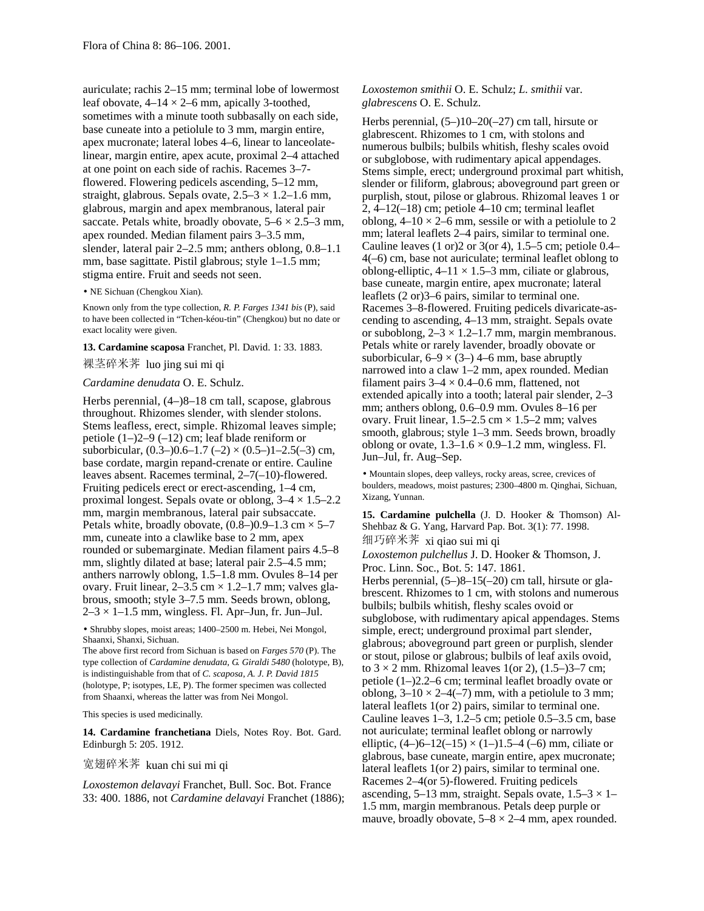auriculate; rachis 2–15 mm; terminal lobe of lowermost leaf obovate,  $4-14 \times 2-6$  mm, apically 3-toothed, sometimes with a minute tooth subbasally on each side, base cuneate into a petiolule to 3 mm, margin entire, apex mucronate; lateral lobes 4–6, linear to lanceolatelinear, margin entire, apex acute, proximal 2–4 attached at one point on each side of rachis. Racemes 3–7 flowered. Flowering pedicels ascending, 5–12 mm, straight, glabrous. Sepals ovate,  $2.5-3 \times 1.2-1.6$  mm, glabrous, margin and apex membranous, lateral pair saccate. Petals white, broadly obovate,  $5-6 \times 2.5-3$  mm, apex rounded. Median filament pairs 3–3.5 mm, slender, lateral pair 2–2.5 mm; anthers oblong, 0.8–1.1 mm, base sagittate. Pistil glabrous; style 1–1.5 mm; stigma entire. Fruit and seeds not seen.

• NE Sichuan (Chengkou Xian).

Known only from the type collection, *R. P. Farges 1341 bis* (P), said to have been collected in "Tchen-kéou-tin" (Chengkou) but no date or exact locality were given.

#### **13. Cardamine scaposa** Franchet, Pl. David. 1: 33. 1883.

裸茎碎米荠 luo jing sui mi qi

# *Cardamine denudata* O. E. Schulz.

Herbs perennial, (4–)8–18 cm tall, scapose, glabrous throughout. Rhizomes slender, with slender stolons. Stems leafless, erect, simple. Rhizomal leaves simple; petiole (1–)2–9 (–12) cm; leaf blade reniform or suborbicular,  $(0.3-)0.6-1.7$   $(-2) \times (0.5-)1-2.5(-3)$  cm, base cordate, margin repand-crenate or entire. Cauline leaves absent. Racemes terminal, 2–7(–10)-flowered. Fruiting pedicels erect or erect-ascending, 1–4 cm, proximal longest. Sepals ovate or oblong,  $3-4 \times 1.5-2.2$ mm, margin membranous, lateral pair subsaccate. Petals white, broadly obovate,  $(0.8-)0.9-1.3$  cm  $\times$  5-7 mm, cuneate into a clawlike base to 2 mm, apex rounded or subemarginate. Median filament pairs 4.5–8 mm, slightly dilated at base; lateral pair 2.5–4.5 mm; anthers narrowly oblong, 1.5–1.8 mm. Ovules 8–14 per ovary. Fruit linear,  $2-3.5$  cm  $\times$  1.2–1.7 mm; valves glabrous, smooth; style 3–7.5 mm. Seeds brown, oblong,  $2-3 \times 1-1.5$  mm, wingless. Fl. Apr-Jun, fr. Jun-Jul.

• Shrubby slopes, moist areas; 1400–2500 m. Hebei, Nei Mongol, Shaanxi, Shanxi, Sichuan.

The above first record from Sichuan is based on *Farges 570* (P). The type collection of *Cardamine denudata, G. Giraldi 5480* (holotype, B), is indistinguishable from that of *C. scaposa, A. J. P. David 1815* (holotype, P; isotypes, LE, P). The former specimen was collected from Shaanxi, whereas the latter was from Nei Mongol.

This species is used medicinally.

**14. Cardamine franchetiana** Diels, Notes Roy. Bot. Gard. Edinburgh 5: 205. 1912.

宽翅碎米荠 kuan chi sui mi qi

*Loxostemon delavayi* Franchet, Bull. Soc. Bot. France 33: 400. 1886, not *Cardamine delavayi* Franchet (1886); *Loxostemon smithii* O. E. Schulz; *L. smithii* var. *glabrescens* O. E. Schulz.

Herbs perennial,  $(5-)10-20(-27)$  cm tall, hirsute or glabrescent. Rhizomes to 1 cm, with stolons and numerous bulbils; bulbils whitish, fleshy scales ovoid or subglobose, with rudimentary apical appendages. Stems simple, erect; underground proximal part whitish, slender or filiform, glabrous; aboveground part green or purplish, stout, pilose or glabrous. Rhizomal leaves 1 or  $2, 4-12(-18)$  cm; petiole  $4-10$  cm; terminal leaflet oblong,  $4-10 \times 2-6$  mm, sessile or with a petiolule to 2 mm; lateral leaflets 2–4 pairs, similar to terminal one. Cauline leaves (1 or)2 or 3(or 4), 1.5–5 cm; petiole 0.4– 4(–6) cm, base not auriculate; terminal leaflet oblong to oblong-elliptic,  $4-11 \times 1.5-3$  mm, ciliate or glabrous, base cuneate, margin entire, apex mucronate; lateral leaflets (2 or)3–6 pairs, similar to terminal one. Racemes 3–8-flowered. Fruiting pedicels divaricate-ascending to ascending, 4–13 mm, straight. Sepals ovate or suboblong,  $2-3 \times 1.2-1.7$  mm, margin membranous. Petals white or rarely lavender, broadly obovate or suborbicular,  $6-9 \times (3-)$  4–6 mm, base abruptly narrowed into a claw 1–2 mm, apex rounded. Median filament pairs  $3-4 \times 0.4-0.6$  mm, flattened, not extended apically into a tooth; lateral pair slender, 2–3 mm; anthers oblong, 0.6–0.9 mm. Ovules 8–16 per ovary. Fruit linear,  $1.5-2.5$  cm  $\times$  1.5-2 mm; valves smooth, glabrous; style 1–3 mm. Seeds brown, broadly oblong or ovate,  $1.3-1.6 \times 0.9-1.2$  mm, wingless. Fl. Jun–Jul, fr. Aug–Sep.

• Mountain slopes, deep valleys, rocky areas, scree, crevices of boulders, meadows, moist pastures; 2300–4800 m. Qinghai, Sichuan, Xizang, Yunnan.

**15. Cardamine pulchella** (J. D. Hooker & Thomson) Al-Shehbaz & G. Yang, Harvard Pap. Bot. 3(1): 77. 1998. 细巧碎米荠 xi qiao sui mi qi

*Loxostemon pulchellus* J. D. Hooker & Thomson, J. Proc. Linn. Soc., Bot. 5: 147. 1861.

Herbs perennial, (5–)8–15(–20) cm tall, hirsute or glabrescent. Rhizomes to 1 cm, with stolons and numerous bulbils; bulbils whitish, fleshy scales ovoid or subglobose, with rudimentary apical appendages. Stems simple, erect; underground proximal part slender, glabrous; aboveground part green or purplish, slender or stout, pilose or glabrous; bulbils of leaf axils ovoid, to  $3 \times 2$  mm. Rhizomal leaves 1(or 2),  $(1.5-3)$  cm; petiole (1–)2.2–6 cm; terminal leaflet broadly ovate or oblong,  $3-10 \times 2-4(-7)$  mm, with a petiolule to 3 mm; lateral leaflets 1(or 2) pairs, similar to terminal one. Cauline leaves 1–3, 1.2–5 cm; petiole 0.5–3.5 cm, base not auriculate; terminal leaflet oblong or narrowly elliptic,  $(4-6-12(-15) \times (1-11.5-4)$  (-6) mm, ciliate or glabrous, base cuneate, margin entire, apex mucronate; lateral leaflets 1(or 2) pairs, similar to terminal one. Racemes 2–4(or 5)-flowered. Fruiting pedicels ascending, 5–13 mm, straight. Sepals ovate,  $1.5-3 \times 1-$ 1.5 mm, margin membranous. Petals deep purple or mauve, broadly obovate,  $5-8 \times 2-4$  mm, apex rounded.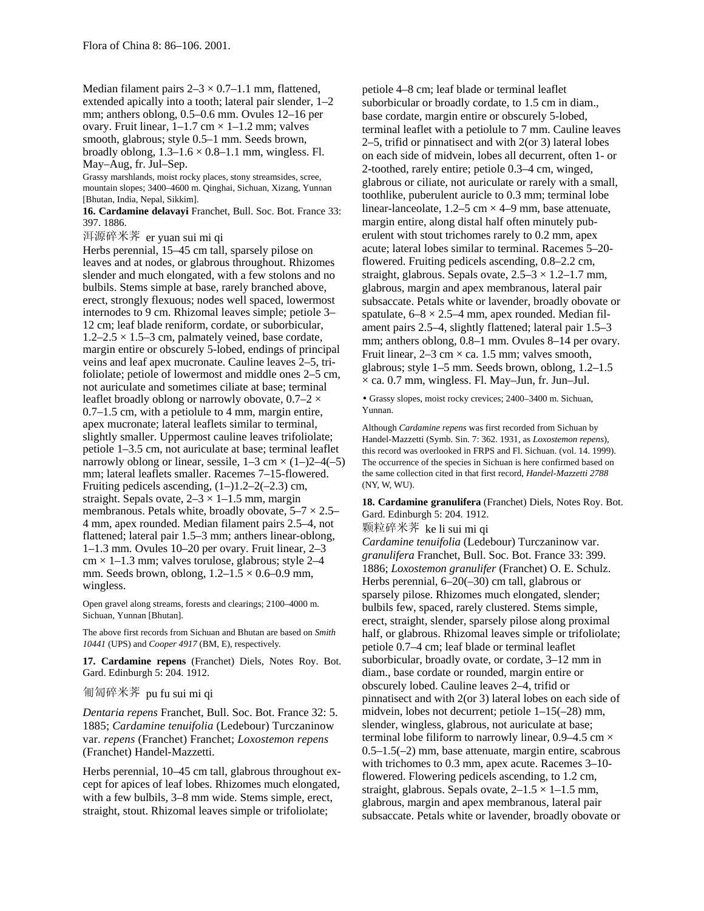Median filament pairs  $2-3 \times 0.7-1.1$  mm, flattened, extended apically into a tooth; lateral pair slender, 1–2 mm; anthers oblong, 0.5–0.6 mm. Ovules 12–16 per ovary. Fruit linear,  $1-1.7$  cm  $\times$   $1-1.2$  mm; valves smooth, glabrous; style 0.5–1 mm. Seeds brown, broadly oblong,  $1.3-1.6 \times 0.8-1.1$  mm, wingless. Fl. May–Aug, fr. Jul–Sep.

Grassy marshlands, moist rocky places, stony streamsides, scree, mountain slopes; 3400–4600 m. Qinghai, Sichuan, Xizang, Yunnan [Bhutan, India, Nepal, Sikkim].

**16. Cardamine delavayi** Franchet, Bull. Soc. Bot. France 33: 397. 1886.

洱源碎米荠 er yuan sui mi qi

Herbs perennial, 15–45 cm tall, sparsely pilose on leaves and at nodes, or glabrous throughout. Rhizomes slender and much elongated, with a few stolons and no bulbils. Stems simple at base, rarely branched above, erect, strongly flexuous; nodes well spaced, lowermost internodes to 9 cm. Rhizomal leaves simple; petiole 3– 12 cm; leaf blade reniform, cordate, or suborbicular,  $1.2-2.5 \times 1.5-3$  cm, palmately veined, base cordate, margin entire or obscurely 5-lobed, endings of principal veins and leaf apex mucronate. Cauline leaves 2–5, trifoliolate; petiole of lowermost and middle ones 2–5 cm, not auriculate and sometimes ciliate at base; terminal leaflet broadly oblong or narrowly obovate,  $0.7-2 \times$ 0.7–1.5 cm, with a petiolule to 4 mm, margin entire, apex mucronate; lateral leaflets similar to terminal, slightly smaller. Uppermost cauline leaves trifoliolate; petiole 1–3.5 cm, not auriculate at base; terminal leaflet narrowly oblong or linear, sessile,  $1-3$  cm  $\times$   $(1-2-4(-5))$ mm; lateral leaflets smaller. Racemes 7–15-flowered. Fruiting pedicels ascending,  $(1-)1.2-2(-2.3)$  cm, straight. Sepals ovate,  $2-3 \times 1-1.5$  mm, margin membranous. Petals white, broadly obovate,  $5-7 \times 2.5-$ 4 mm, apex rounded. Median filament pairs 2.5–4, not flattened; lateral pair 1.5–3 mm; anthers linear-oblong, 1–1.3 mm. Ovules 10–20 per ovary. Fruit linear, 2–3  $cm \times 1-1.3$  mm; valves torulose, glabrous; style 2-4 mm. Seeds brown, oblong,  $1.2-1.5 \times 0.6-0.9$  mm, wingless.

Open gravel along streams, forests and clearings; 2100–4000 m. Sichuan, Yunnan [Bhutan].

The above first records from Sichuan and Bhutan are based on *Smith 10441* (UPS) and *Cooper 4917* (BM, E), respectively.

**17. Cardamine repens** (Franchet) Diels, Notes Roy. Bot. Gard. Edinburgh 5: 204. 1912.

## 匍匐碎米荠 pu fu sui mi qi

*Dentaria repens* Franchet, Bull. Soc. Bot. France 32: 5. 1885; *Cardamine tenuifolia* (Ledebour) Turczaninow var. *repens* (Franchet) Franchet; *Loxostemon repens* (Franchet) Handel-Mazzetti.

Herbs perennial, 10–45 cm tall, glabrous throughout except for apices of leaf lobes. Rhizomes much elongated, with a few bulbils, 3–8 mm wide. Stems simple, erect, straight, stout. Rhizomal leaves simple or trifoliolate;

petiole 4–8 cm; leaf blade or terminal leaflet suborbicular or broadly cordate, to 1.5 cm in diam., base cordate, margin entire or obscurely 5-lobed, terminal leaflet with a petiolule to 7 mm. Cauline leaves 2–5, trifid or pinnatisect and with 2(or 3) lateral lobes on each side of midvein, lobes all decurrent, often 1- or 2-toothed, rarely entire; petiole 0.3–4 cm, winged, glabrous or ciliate, not auriculate or rarely with a small, toothlike, puberulent auricle to 0.3 mm; terminal lobe linear-lanceolate,  $1.2-5$  cm  $\times$  4-9 mm, base attenuate, margin entire, along distal half often minutely puberulent with stout trichomes rarely to 0.2 mm, apex acute; lateral lobes similar to terminal. Racemes 5–20 flowered. Fruiting pedicels ascending, 0.8–2.2 cm, straight, glabrous. Sepals ovate,  $2.5-3 \times 1.2-1.7$  mm, glabrous, margin and apex membranous, lateral pair subsaccate. Petals white or lavender, broadly obovate or spatulate,  $6-8 \times 2.5-4$  mm, apex rounded. Median filament pairs 2.5–4, slightly flattened; lateral pair 1.5–3 mm; anthers oblong, 0.8–1 mm. Ovules 8–14 per ovary. Fruit linear,  $2-3$  cm  $\times$  ca. 1.5 mm; valves smooth, glabrous; style 1–5 mm. Seeds brown, oblong, 1.2–1.5  $\times$  ca. 0.7 mm, wingless. Fl. May–Jun, fr. Jun–Jul.

• Grassy slopes, moist rocky crevices; 2400–3400 m. Sichuan, Yunnan.

Although *Cardamine repens* was first recorded from Sichuan by Handel-Mazzetti (Symb. Sin. 7: 362. 1931, as *Loxostemon repens*), this record was overlooked in FRPS and Fl. Sichuan. (vol. 14. 1999). The occurrence of the species in Sichuan is here confirmed based on the same collection cited in that first record, *Handel-Mazzetti 2788* (NY, W, WU).

**18. Cardamine granulifera** (Franchet) Diels, Notes Roy. Bot. Gard. Edinburgh 5: 204. 1912.

颗粒碎米荠 ke li sui mi qi

*Cardamine tenuifolia* (Ledebour) Turczaninow var. *granulifera* Franchet, Bull. Soc. Bot. France 33: 399. 1886; *Loxostemon granulifer* (Franchet) O. E. Schulz. Herbs perennial, 6–20(–30) cm tall, glabrous or sparsely pilose. Rhizomes much elongated, slender; bulbils few, spaced, rarely clustered. Stems simple, erect, straight, slender, sparsely pilose along proximal half, or glabrous. Rhizomal leaves simple or trifoliolate; petiole 0.7–4 cm; leaf blade or terminal leaflet suborbicular, broadly ovate, or cordate, 3–12 mm in diam., base cordate or rounded, margin entire or obscurely lobed. Cauline leaves 2–4, trifid or pinnatisect and with 2(or 3) lateral lobes on each side of midvein, lobes not decurrent; petiole 1–15(–28) mm, slender, wingless, glabrous, not auriculate at base; terminal lobe filiform to narrowly linear,  $0.9-4.5$  cm  $\times$ 0.5–1.5(–2) mm, base attenuate, margin entire, scabrous with trichomes to 0.3 mm, apex acute. Racemes 3–10 flowered. Flowering pedicels ascending, to 1.2 cm, straight, glabrous. Sepals ovate,  $2-1.5 \times 1-1.5$  mm, glabrous, margin and apex membranous, lateral pair subsaccate. Petals white or lavender, broadly obovate or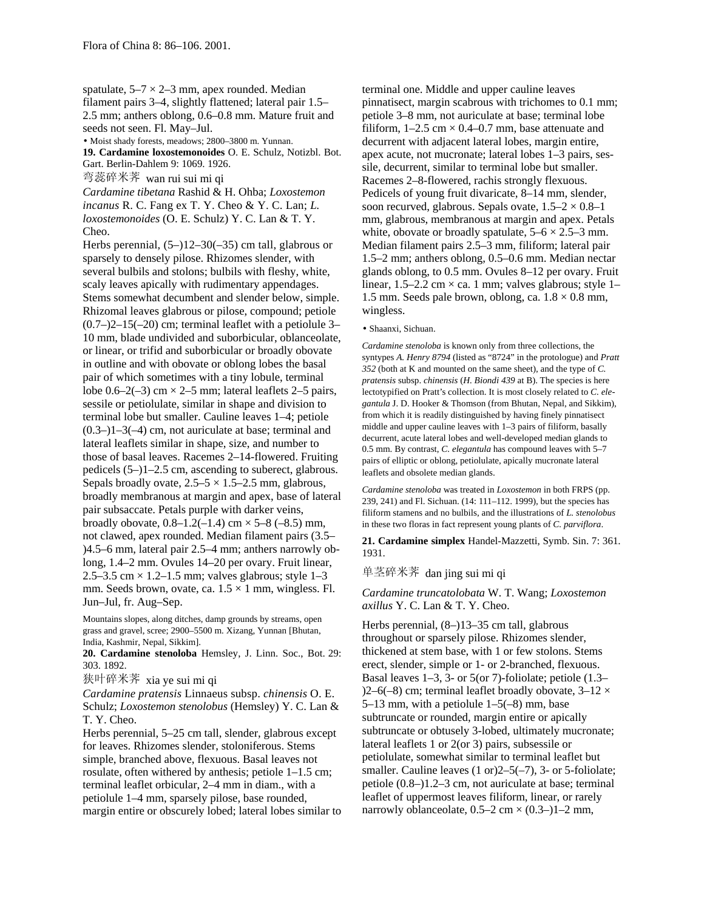spatulate,  $5-7 \times 2-3$  mm, apex rounded. Median filament pairs 3–4, slightly flattened; lateral pair 1.5– 2.5 mm; anthers oblong, 0.6–0.8 mm. Mature fruit and seeds not seen. Fl. May–Jul.

• Moist shady forests, meadows; 2800–3800 m. Yunnan. **19. Cardamine loxostemonoides** O. E. Schulz, Notizbl. Bot.

Gart. Berlin-Dahlem 9: 1069. 1926.

弯蕊碎米荠 wan rui sui mi qi

*Cardamine tibetana* Rashid & H. Ohba; *Loxostemon incanus* R. C. Fang ex T. Y. Cheo & Y. C. Lan; *L. loxostemonoides* (O. E. Schulz) Y. C. Lan & T. Y. Cheo.

Herbs perennial, (5–)12–30(–35) cm tall, glabrous or sparsely to densely pilose. Rhizomes slender, with several bulbils and stolons; bulbils with fleshy, white, scaly leaves apically with rudimentary appendages. Stems somewhat decumbent and slender below, simple. Rhizomal leaves glabrous or pilose, compound; petiole  $(0.7-2)2-15(-20)$  cm; terminal leaflet with a petiolule 3– 10 mm, blade undivided and suborbicular, oblanceolate, or linear, or trifid and suborbicular or broadly obovate in outline and with obovate or oblong lobes the basal pair of which sometimes with a tiny lobule, terminal lobe  $0.6-2(-3)$  cm  $\times$  2-5 mm; lateral leaflets 2-5 pairs, sessile or petiolulate, similar in shape and division to terminal lobe but smaller. Cauline leaves 1–4; petiole  $(0.3-11-3(-4)$  cm, not auriculate at base; terminal and lateral leaflets similar in shape, size, and number to those of basal leaves. Racemes 2–14-flowered. Fruiting pedicels (5–)1–2.5 cm, ascending to suberect, glabrous. Sepals broadly ovate,  $2.5-5 \times 1.5-2.5$  mm, glabrous, broadly membranous at margin and apex, base of lateral pair subsaccate. Petals purple with darker veins, broadly obovate,  $0.8-1.2(-1.4)$  cm  $\times$  5-8 (-8.5) mm, not clawed, apex rounded. Median filament pairs (3.5– )4.5–6 mm, lateral pair 2.5–4 mm; anthers narrowly oblong, 1.4–2 mm. Ovules 14–20 per ovary. Fruit linear, 2.5–3.5 cm  $\times$  1.2–1.5 mm; valves glabrous; style 1–3 mm. Seeds brown, ovate, ca.  $1.5 \times 1$  mm, wingless. Fl. Jun–Jul, fr. Aug–Sep.

Mountains slopes, along ditches, damp grounds by streams, open grass and gravel, scree; 2900–5500 m. Xizang, Yunnan [Bhutan, India, Kashmir, Nepal, Sikkim].

**20. Cardamine stenoloba** Hemsley, J. Linn. Soc., Bot. 29: 303. 1892.

狭叶碎米荠 xia ye sui mi qi

*Cardamine pratensis* Linnaeus subsp. *chinensis* O. E. Schulz; *Loxostemon stenolobus* (Hemsley) Y. C. Lan & T. Y. Cheo.

Herbs perennial, 5–25 cm tall, slender, glabrous except for leaves. Rhizomes slender, stoloniferous. Stems simple, branched above, flexuous. Basal leaves not rosulate, often withered by anthesis; petiole 1–1.5 cm; terminal leaflet orbicular, 2–4 mm in diam., with a petiolule 1–4 mm, sparsely pilose, base rounded, margin entire or obscurely lobed; lateral lobes similar to terminal one. Middle and upper cauline leaves pinnatisect, margin scabrous with trichomes to 0.1 mm; petiole 3–8 mm, not auriculate at base; terminal lobe filiform,  $1-2.5$  cm  $\times$  0.4–0.7 mm, base attenuate and decurrent with adjacent lateral lobes, margin entire, apex acute, not mucronate; lateral lobes 1–3 pairs, sessile, decurrent, similar to terminal lobe but smaller. Racemes 2–8-flowered, rachis strongly flexuous. Pedicels of young fruit divaricate, 8–14 mm, slender, soon recurved, glabrous. Sepals ovate,  $1.5-2 \times 0.8-1$ mm, glabrous, membranous at margin and apex. Petals white, obovate or broadly spatulate,  $5-6 \times 2.5-3$  mm. Median filament pairs 2.5–3 mm, filiform; lateral pair 1.5–2 mm; anthers oblong, 0.5–0.6 mm. Median nectar glands oblong, to 0.5 mm. Ovules 8–12 per ovary. Fruit linear,  $1.5-2.2$  cm  $\times$  ca. 1 mm; valves glabrous; style 1– 1.5 mm. Seeds pale brown, oblong, ca.  $1.8 \times 0.8$  mm, wingless.

### • Shaanxi, Sichuan.

*Cardamine stenoloba* is known only from three collections, the syntypes *A. Henry 8794* (listed as "8724" in the protologue) and *Pratt 352* (both at K and mounted on the same sheet), and the type of *C. pratensis* subsp. *chinensis* (*H. Biondi 439* at B). The species is here lectotypified on Pratt's collection. It is most closely related to *C. elegantula* J. D. Hooker & Thomson (from Bhutan, Nepal, and Sikkim), from which it is readily distinguished by having finely pinnatisect middle and upper cauline leaves with 1–3 pairs of filiform, basally decurrent, acute lateral lobes and well-developed median glands to 0.5 mm. By contrast, *C. elegantula* has compound leaves with 5–7 pairs of elliptic or oblong, petiolulate, apically mucronate lateral leaflets and obsolete median glands.

*Cardamine stenoloba* was treated in *Loxostemon* in both FRPS (pp. 239, 241) and Fl. Sichuan. (14: 111–112. 1999), but the species has filiform stamens and no bulbils, and the illustrations of *L. stenolobus* in these two floras in fact represent young plants of *C. parviflora*.

**21. Cardamine simplex** Handel-Mazzetti, Symb. Sin. 7: 361. 1931.

单茎碎米荠 dan jing sui mi qi

*Cardamine truncatolobata* W. T. Wang; *Loxostemon axillus* Y. C. Lan & T. Y. Cheo.

Herbs perennial, (8–)13–35 cm tall, glabrous throughout or sparsely pilose. Rhizomes slender, thickened at stem base, with 1 or few stolons. Stems erect, slender, simple or 1- or 2-branched, flexuous. Basal leaves 1–3, 3- or 5(or 7)-foliolate; petiole (1.3–  $(2-6(-8)$  cm; terminal leaflet broadly obovate,  $3-12 \times$ 5–13 mm, with a petiolule 1–5(–8) mm, base subtruncate or rounded, margin entire or apically subtruncate or obtusely 3-lobed, ultimately mucronate; lateral leaflets 1 or 2(or 3) pairs, subsessile or petiolulate, somewhat similar to terminal leaflet but smaller. Cauline leaves (1 or) 2–5(-7), 3- or 5-foliolate; petiole (0.8–)1.2–3 cm, not auriculate at base; terminal leaflet of uppermost leaves filiform, linear, or rarely narrowly oblanceolate,  $0.5-2$  cm  $\times$   $(0.3-1)$  - 2 mm,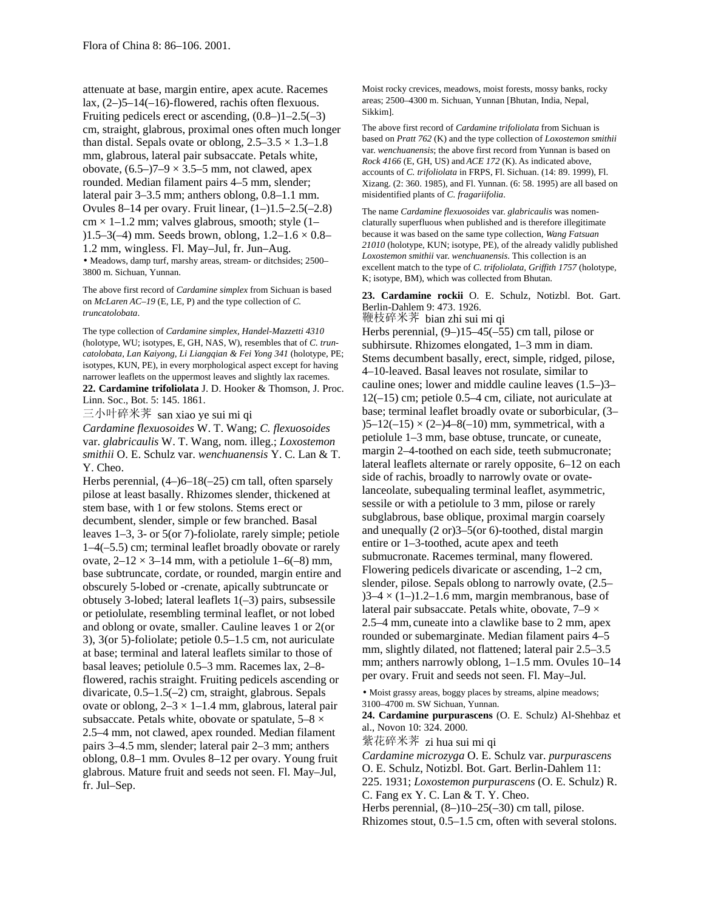attenuate at base, margin entire, apex acute. Racemes lax, (2–)5–14(–16)-flowered, rachis often flexuous. Fruiting pedicels erect or ascending,  $(0.8-11-2.5(-3))$ cm, straight, glabrous, proximal ones often much longer than distal. Sepals ovate or oblong,  $2.5-3.5 \times 1.3-1.8$ mm, glabrous, lateral pair subsaccate. Petals white, obovate,  $(6.5-77-9 \times 3.5-5$  mm, not clawed, apex rounded. Median filament pairs 4–5 mm, slender; lateral pair 3–3.5 mm; anthers oblong, 0.8–1.1 mm. Ovules 8–14 per ovary. Fruit linear, (1–)1.5–2.5(–2.8)  $cm \times 1 - 1.2$  mm; valves glabrous, smooth; style (1– )1.5–3(–4) mm. Seeds brown, oblong, 1.2–1.6 × 0.8– 1.2 mm, wingless. Fl. May–Jul, fr. Jun–Aug. • Meadows, damp turf, marshy areas, stream- or ditchsides; 2500– 3800 m. Sichuan, Yunnan.

The above first record of *Cardamine simplex* from Sichuan is based on *McLaren AC–19* (E, LE, P) and the type collection of *C. truncatolobata*.

The type collection of *Cardamine simplex, Handel-Mazzetti 4310* (holotype, WU; isotypes, E, GH, NAS, W), resembles that of *C. truncatolobata, Lan Kaiyong, Li Liangqian & Fei Yong 341* (holotype, PE; isotypes, KUN, PE), in every morphological aspect except for having narrower leaflets on the uppermost leaves and slightly lax racemes. **22. Cardamine trifoliolata** J. D. Hooker & Thomson, J. Proc. Linn. Soc., Bot. 5: 145. 1861.

三小叶碎米荠 san xiao ye sui mi qi

*Cardamine flexuosoides* W. T. Wang; *C. flexuosoides* var. *glabricaulis* W. T. Wang, nom. illeg.; *Loxostemon smithii* O. E. Schulz var. *wenchuanensis* Y. C. Lan & T. Y. Cheo.

Herbs perennial, (4–)6–18(–25) cm tall, often sparsely pilose at least basally. Rhizomes slender, thickened at stem base, with 1 or few stolons. Stems erect or decumbent, slender, simple or few branched. Basal leaves 1–3, 3- or 5(or 7)-foliolate, rarely simple; petiole 1–4(–5.5) cm; terminal leaflet broadly obovate or rarely ovate,  $2-12 \times 3-14$  mm, with a petiolule  $1-6(-8)$  mm, base subtruncate, cordate, or rounded, margin entire and obscurely 5-lobed or -crenate, apically subtruncate or obtusely 3-lobed; lateral leaflets 1(–3) pairs, subsessile or petiolulate, resembling terminal leaflet, or not lobed and oblong or ovate, smaller. Cauline leaves 1 or 2(or 3), 3(or 5)-foliolate; petiole 0.5–1.5 cm, not auriculate at base; terminal and lateral leaflets similar to those of basal leaves; petiolule 0.5–3 mm. Racemes lax, 2–8 flowered, rachis straight. Fruiting pedicels ascending or divaricate, 0.5–1.5(–2) cm, straight, glabrous. Sepals ovate or oblong,  $2-3 \times 1-1.4$  mm, glabrous, lateral pair subsaccate. Petals white, obovate or spatulate,  $5-8 \times$ 2.5–4 mm, not clawed, apex rounded. Median filament pairs 3–4.5 mm, slender; lateral pair 2–3 mm; anthers oblong, 0.8–1 mm. Ovules 8–12 per ovary. Young fruit glabrous. Mature fruit and seeds not seen. Fl. May–Jul, fr. Jul–Sep.

Moist rocky crevices, meadows, moist forests, mossy banks, rocky areas; 2500–4300 m. Sichuan, Yunnan [Bhutan, India, Nepal, Sikkim].

The above first record of *Cardamine trifoliolata* from Sichuan is based on *Pratt 762* (K) and the type collection of *Loxostemon smithii* var. *wenchuanensis*; the above first record from Yunnan is based on *Rock 4166* (E, GH, US) and *ACE 172* (K). As indicated above, accounts of *C. trifoliolata* in FRPS, Fl. Sichuan. (14: 89. 1999), Fl. Xizang. (2: 360. 1985), and Fl. Yunnan. (6: 58. 1995) are all based on misidentified plants of *C. fragariifolia*.

The name *Cardamine flexuosoides* var. *glabricaulis* was nomenclaturally superfluous when published and is therefore illegitimate because it was based on the same type collection, *Wang Fatsuan 21010* (holotype, KUN; isotype, PE), of the already validly published *Loxostemon smithii* var. *wenchuanensis*. This collection is an excellent match to the type of *C. trifoliolata, Griffith 1757* (holotype, K; isotype, BM), which was collected from Bhutan.

**23. Cardamine rockii** O. E. Schulz, Notizbl. Bot. Gart. Berlin-Dahlem 9: 473. 1926.

鞭枝碎米荠 bian zhi sui mi qi Herbs perennial, (9–)15–45(–55) cm tall, pilose or subhirsute. Rhizomes elongated, 1–3 mm in diam. Stems decumbent basally, erect, simple, ridged, pilose, 4–10-leaved. Basal leaves not rosulate, similar to cauline ones; lower and middle cauline leaves (1.5–)3– 12(–15) cm; petiole 0.5–4 cm, ciliate, not auriculate at base; terminal leaflet broadly ovate or suborbicular, (3–  $(5-12(-15) \times (2-4-8(-10) \text{ mm})$ , symmetrical, with a petiolule 1–3 mm, base obtuse, truncate, or cuneate, margin 2–4-toothed on each side, teeth submucronate; lateral leaflets alternate or rarely opposite, 6–12 on each side of rachis, broadly to narrowly ovate or ovatelanceolate, subequaling terminal leaflet, asymmetric, sessile or with a petiolule to 3 mm, pilose or rarely subglabrous, base oblique, proximal margin coarsely and unequally (2 or)3–5(or 6)-toothed, distal margin entire or 1–3-toothed, acute apex and teeth submucronate. Racemes terminal, many flowered. Flowering pedicels divaricate or ascending, 1–2 cm, slender, pilose. Sepals oblong to narrowly ovate, (2.5–  $3-4 \times (1-)1.2-1.6$  mm, margin membranous, base of lateral pair subsaccate. Petals white, obovate,  $7-9 \times$ 2.5–4 mm, cuneate into a clawlike base to 2 mm, apex rounded or subemarginate. Median filament pairs 4–5 mm, slightly dilated, not flattened; lateral pair 2.5–3.5 mm; anthers narrowly oblong, 1–1.5 mm. Ovules 10–14 per ovary. Fruit and seeds not seen. Fl. May–Jul.

• Moist grassy areas, boggy places by streams, alpine meadows; 3100–4700 m. SW Sichuan, Yunnan.

**24. Cardamine purpurascens** (O. E. Schulz) Al-Shehbaz et al., Novon 10: 324. 2000.

紫花碎米荠 zi hua sui mi qi

*Cardamine microzyga* O. E. Schulz var. *purpurascens*

O. E. Schulz, Notizbl. Bot. Gart. Berlin-Dahlem 11:

225. 1931; *Loxostemon purpurascens* (O. E. Schulz) R. C. Fang ex Y. C. Lan & T. Y. Cheo.

Herbs perennial, (8–)10–25(–30) cm tall, pilose.

Rhizomes stout, 0.5–1.5 cm, often with several stolons.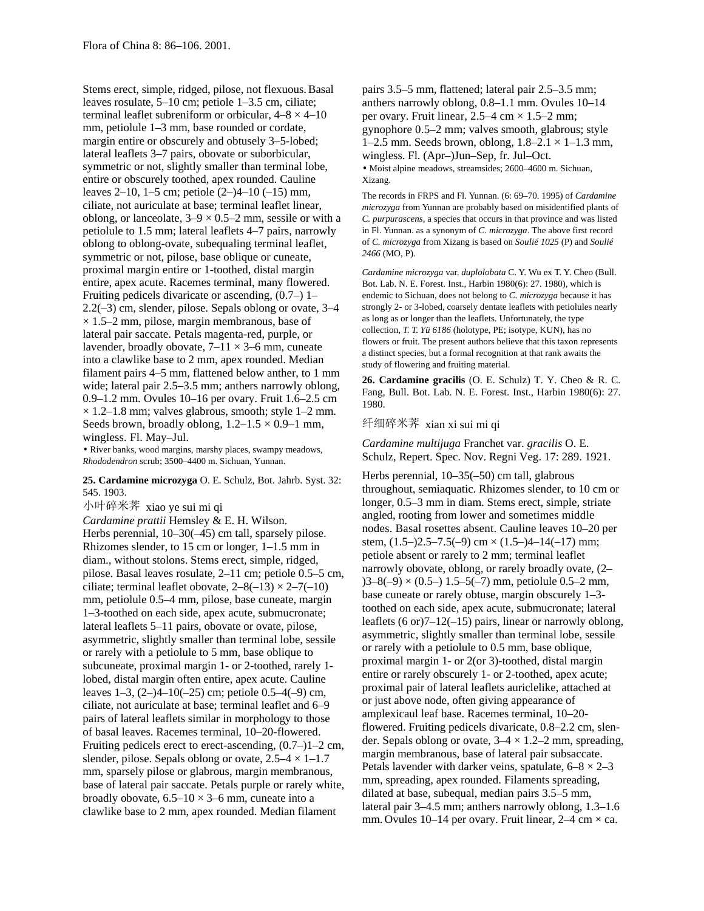Stems erect, simple, ridged, pilose, not flexuous. Basal leaves rosulate, 5–10 cm; petiole 1–3.5 cm, ciliate; terminal leaflet subreniform or orbicular,  $4-8 \times 4-10$ mm, petiolule 1–3 mm, base rounded or cordate, margin entire or obscurely and obtusely 3–5-lobed; lateral leaflets 3–7 pairs, obovate or suborbicular, symmetric or not, slightly smaller than terminal lobe, entire or obscurely toothed, apex rounded. Cauline leaves 2–10, 1–5 cm; petiole (2–)4–10 (–15) mm, ciliate, not auriculate at base; terminal leaflet linear, oblong, or lanceolate,  $3-9 \times 0.5-2$  mm, sessile or with a petiolule to 1.5 mm; lateral leaflets 4–7 pairs, narrowly oblong to oblong-ovate, subequaling terminal leaflet, symmetric or not, pilose, base oblique or cuneate, proximal margin entire or 1-toothed, distal margin entire, apex acute. Racemes terminal, many flowered. Fruiting pedicels divaricate or ascending, (0.7–) 1– 2.2(–3) cm, slender, pilose. Sepals oblong or ovate, 3–4  $\times$  1.5–2 mm, pilose, margin membranous, base of lateral pair saccate. Petals magenta-red, purple, or lavender, broadly obovate,  $7-11 \times 3-6$  mm, cuneate into a clawlike base to 2 mm, apex rounded. Median filament pairs 4–5 mm, flattened below anther, to 1 mm wide; lateral pair 2.5–3.5 mm; anthers narrowly oblong, 0.9–1.2 mm. Ovules 10–16 per ovary. Fruit 1.6–2.5 cm  $\times$  1.2–1.8 mm; valves glabrous, smooth; style 1–2 mm. Seeds brown, broadly oblong,  $1.2-1.5 \times 0.9-1$  mm, wingless. Fl. May–Jul.

• River banks, wood margins, marshy places, swampy meadows, *Rhododendron* scrub; 3500–4400 m. Sichuan, Yunnan.

## **25. Cardamine microzyga** O. E. Schulz, Bot. Jahrb. Syst. 32: 545. 1903.

小叶碎米荠 xiao ye sui mi qi *Cardamine prattii* Hemsley & E. H. Wilson. Herbs perennial, 10–30(–45) cm tall, sparsely pilose. Rhizomes slender, to 15 cm or longer, 1–1.5 mm in diam., without stolons. Stems erect, simple, ridged, pilose. Basal leaves rosulate, 2–11 cm; petiole 0.5–5 cm, ciliate; terminal leaflet obovate,  $2-8(-13) \times 2-7(-10)$ mm, petiolule 0.5–4 mm, pilose, base cuneate, margin 1–3-toothed on each side, apex acute, submucronate; lateral leaflets 5–11 pairs, obovate or ovate, pilose, asymmetric, slightly smaller than terminal lobe, sessile or rarely with a petiolule to 5 mm, base oblique to subcuneate, proximal margin 1- or 2-toothed, rarely 1 lobed, distal margin often entire, apex acute. Cauline leaves 1–3, (2–)4–10(–25) cm; petiole 0.5–4(–9) cm, ciliate, not auriculate at base; terminal leaflet and 6–9 pairs of lateral leaflets similar in morphology to those of basal leaves. Racemes terminal, 10–20-flowered. Fruiting pedicels erect to erect-ascending, (0.7–)1–2 cm, slender, pilose. Sepals oblong or ovate,  $2.5-4 \times 1-1.7$ mm, sparsely pilose or glabrous, margin membranous, base of lateral pair saccate. Petals purple or rarely white, broadly obovate,  $6.5-10 \times 3-6$  mm, cuneate into a clawlike base to 2 mm, apex rounded. Median filament

pairs 3.5–5 mm, flattened; lateral pair 2.5–3.5 mm; anthers narrowly oblong, 0.8–1.1 mm. Ovules 10–14 per ovary. Fruit linear,  $2.5-4$  cm  $\times$  1.5-2 mm; gynophore 0.5–2 mm; valves smooth, glabrous; style 1–2.5 mm. Seeds brown, oblong,  $1.8-2.1 \times 1-1.3$  mm, wingless. Fl. (Apr–)Jun–Sep, fr. Jul–Oct. • Moist alpine meadows, streamsides; 2600–4600 m. Sichuan, Xizang.

The records in FRPS and Fl. Yunnan. (6: 69–70. 1995) of *Cardamine microzyga* from Yunnan are probably based on misidentified plants of *C. purpurascens,* a species that occurs in that province and was listed in Fl. Yunnan. as a synonym of *C. microzyga*. The above first record of *C. microzyga* from Xizang is based on *Soulié 1025* (P) and *Soulié 2466* (MO, P).

*Cardamine microzyga* var. *duplolobata* C. Y. Wu ex T. Y. Cheo (Bull. Bot. Lab. N. E. Forest. Inst., Harbin 1980(6): 27. 1980), which is endemic to Sichuan, does not belong to *C. microzyga* because it has strongly 2- or 3-lobed, coarsely dentate leaflets with petiolules nearly as long as or longer than the leaflets. Unfortunately, the type collection, *T. T. Yü 6186* (holotype, PE; isotype, KUN), has no flowers or fruit. The present authors believe that this taxon represents a distinct species, but a formal recognition at that rank awaits the study of flowering and fruiting material.

**26. Cardamine gracilis** (O. E. Schulz) T. Y. Cheo & R. C. Fang, Bull. Bot. Lab. N. E. Forest. Inst., Harbin 1980(6): 27. 1980.

# 纤细碎米荠 xian xi sui mi qi

*Cardamine multijuga* Franchet var. *gracilis* O. E. Schulz, Repert. Spec. Nov. Regni Veg. 17: 289. 1921.

Herbs perennial, 10–35(–50) cm tall, glabrous throughout, semiaquatic. Rhizomes slender, to 10 cm or longer, 0.5–3 mm in diam. Stems erect, simple, striate angled, rooting from lower and sometimes middle nodes. Basal rosettes absent. Cauline leaves 10–20 per stem,  $(1.5-2.5-7.5(-9)$  cm  $\times$   $(1.5-4-14(-17)$  mm; petiole absent or rarely to 2 mm; terminal leaflet narrowly obovate, oblong, or rarely broadly ovate, (2–  $(3-8(-9) \times (0.5-1) 1.5-5(-7)$  mm, petiolule 0.5-2 mm, base cuneate or rarely obtuse, margin obscurely 1–3 toothed on each side, apex acute, submucronate; lateral leaflets (6 or)7–12(–15) pairs, linear or narrowly oblong, asymmetric, slightly smaller than terminal lobe, sessile or rarely with a petiolule to 0.5 mm, base oblique, proximal margin 1- or 2(or 3)-toothed, distal margin entire or rarely obscurely 1- or 2-toothed, apex acute; proximal pair of lateral leaflets auriclelike, attached at or just above node, often giving appearance of amplexicaul leaf base. Racemes terminal, 10–20 flowered. Fruiting pedicels divaricate, 0.8–2.2 cm, slender. Sepals oblong or ovate,  $3-4 \times 1.2-2$  mm, spreading, margin membranous, base of lateral pair subsaccate. Petals lavender with darker veins, spatulate,  $6-8 \times 2-3$ mm, spreading, apex rounded. Filaments spreading, dilated at base, subequal, median pairs 3.5–5 mm, lateral pair 3–4.5 mm; anthers narrowly oblong, 1.3–1.6 mm. Ovules 10–14 per ovary. Fruit linear,  $2-4$  cm  $\times$  ca.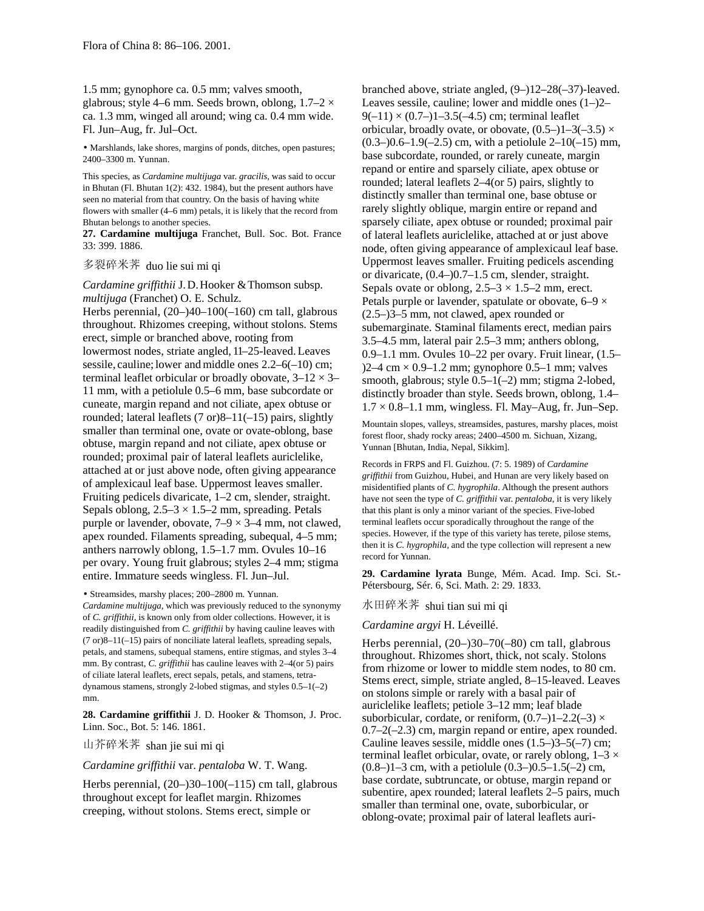1.5 mm; gynophore ca. 0.5 mm; valves smooth, glabrous; style 4–6 mm. Seeds brown, oblong,  $1.7-2 \times$ ca. 1.3 mm, winged all around; wing ca. 0.4 mm wide. Fl. Jun–Aug, fr. Jul–Oct.

• Marshlands, lake shores, margins of ponds, ditches, open pastures; 2400–3300 m. Yunnan.

This species, as *Cardamine multijuga* var. *gracilis,* was said to occur in Bhutan (Fl. Bhutan 1(2): 432. 1984), but the present authors have seen no material from that country. On the basis of having white flowers with smaller (4–6 mm) petals, it is likely that the record from Bhutan belongs to another species.

**27. Cardamine multijuga** Franchet, Bull. Soc. Bot. France 33: 399. 1886.

# 多裂碎米荠 duo lie sui mi qi

*Cardamine griffithii* J.D.Hooker &Thomson subsp. *multijuga* (Franchet) O. E. Schulz.

Herbs perennial, (20–)40–100(–160) cm tall, glabrous throughout. Rhizomes creeping, without stolons. Stems erect, simple or branched above, rooting from lowermost nodes, striate angled, 11–25-leaved.Leaves sessile, cauline; lower and middle ones  $2.2-6(-10)$  cm; terminal leaflet orbicular or broadly obovate,  $3-12 \times 3-$ 11 mm, with a petiolule 0.5–6 mm, base subcordate or cuneate, margin repand and not ciliate, apex obtuse or rounded; lateral leaflets (7 or)8–11(–15) pairs, slightly smaller than terminal one, ovate or ovate-oblong, base obtuse, margin repand and not ciliate, apex obtuse or rounded; proximal pair of lateral leaflets auriclelike, attached at or just above node, often giving appearance of amplexicaul leaf base. Uppermost leaves smaller. Fruiting pedicels divaricate, 1–2 cm, slender, straight. Sepals oblong,  $2.5-3 \times 1.5-2$  mm, spreading. Petals purple or lavender, obovate,  $7-9 \times 3-4$  mm, not clawed, apex rounded. Filaments spreading, subequal, 4–5 mm; anthers narrowly oblong, 1.5–1.7 mm. Ovules 10–16 per ovary. Young fruit glabrous; styles 2–4 mm; stigma entire. Immature seeds wingless. Fl. Jun–Jul.

• Streamsides, marshy places; 200–2800 m. Yunnan.

*Cardamine multijuga,* which was previously reduced to the synonymy of *C. griffithii,* is known only from older collections. However, it is readily distinguished from *C. griffithii* by having cauline leaves with (7 or)8–11(–15) pairs of nonciliate lateral leaflets, spreading sepals, petals, and stamens, subequal stamens, entire stigmas, and styles 3–4 mm. By contrast, *C. griffithii* has cauline leaves with 2–4(or 5) pairs of ciliate lateral leaflets, erect sepals, petals, and stamens, tetradynamous stamens, strongly 2-lobed stigmas, and styles 0.5–1(–2) mm.

**28. Cardamine griffithii** J. D. Hooker & Thomson, J. Proc. Linn. Soc., Bot. 5: 146. 1861.

山芥碎米荠 shan jie sui mi qi

*Cardamine griffithii* var. *pentaloba* W. T. Wang.

Herbs perennial, (20–)30–100(–115) cm tall, glabrous throughout except for leaflet margin. Rhizomes creeping, without stolons. Stems erect, simple or

branched above, striate angled, (9–)12–28(–37)-leaved. Leaves sessile, cauline; lower and middle ones (1–)2–  $9(-11) \times (0.7) -1 -3.5(-4.5)$  cm; terminal leaflet orbicular, broadly ovate, or obovate,  $(0.5-11-3(-3.5) \times$  $(0.3-)0.6-1.9(-2.5)$  cm, with a petiolule  $2-10(-15)$  mm, base subcordate, rounded, or rarely cuneate, margin repand or entire and sparsely ciliate, apex obtuse or rounded; lateral leaflets 2–4(or 5) pairs, slightly to distinctly smaller than terminal one, base obtuse or rarely slightly oblique, margin entire or repand and sparsely ciliate, apex obtuse or rounded; proximal pair of lateral leaflets auriclelike, attached at or just above node, often giving appearance of amplexicaul leaf base. Uppermost leaves smaller. Fruiting pedicels ascending or divaricate, (0.4–)0.7–1.5 cm, slender, straight. Sepals ovate or oblong,  $2.5-3 \times 1.5-2$  mm, erect. Petals purple or lavender, spatulate or obovate,  $6-9 \times$ (2.5–)3–5 mm, not clawed, apex rounded or subemarginate. Staminal filaments erect, median pairs 3.5–4.5 mm, lateral pair 2.5–3 mm; anthers oblong, 0.9–1.1 mm. Ovules 10–22 per ovary. Fruit linear, (1.5–  $2-4$  cm  $\times$  0.9–1.2 mm; gynophore 0.5–1 mm; valves smooth, glabrous; style  $0.5-1(-2)$  mm; stigma 2-lobed, distinctly broader than style. Seeds brown, oblong, 1.4–  $1.7 \times 0.8$ –1.1 mm, wingless. Fl. May–Aug, fr. Jun–Sep.

Mountain slopes, valleys, streamsides, pastures, marshy places, moist forest floor, shady rocky areas; 2400–4500 m. Sichuan, Xizang, Yunnan [Bhutan, India, Nepal, Sikkim].

Records in FRPS and Fl. Guizhou. (7: 5. 1989) of *Cardamine griffithii* from Guizhou, Hubei, and Hunan are very likely based on misidentified plants of *C. hygrophila*. Although the present authors have not seen the type of *C. griffithii* var. *pentaloba,* it is very likely that this plant is only a minor variant of the species. Five-lobed terminal leaflets occur sporadically throughout the range of the species. However, if the type of this variety has terete, pilose stems, then it is *C. hygrophila,* and the type collection will represent a new record for Yunnan.

**29. Cardamine lyrata** Bunge, Mém. Acad. Imp. Sci. St.- Pétersbourg, Sér. 6, Sci. Math. 2: 29. 1833.

水田碎米荠 shui tian sui mi qi

## *Cardamine argyi* H. Léveillé.

Herbs perennial, (20–)30–70(–80) cm tall, glabrous throughout. Rhizomes short, thick, not scaly. Stolons from rhizome or lower to middle stem nodes, to 80 cm. Stems erect, simple, striate angled, 8–15-leaved. Leaves on stolons simple or rarely with a basal pair of auriclelike leaflets; petiole 3–12 mm; leaf blade suborbicular, cordate, or reniform,  $(0.7-11-2.2(-3) \times$ 0.7–2(–2.3) cm, margin repand or entire, apex rounded. Cauline leaves sessile, middle ones (1.5–)3–5(–7) cm; terminal leaflet orbicular, ovate, or rarely oblong,  $1-3 \times$  $(0.8-11-3$  cm, with a petiolule  $(0.3-0.5-1.5(-2)$  cm, base cordate, subtruncate, or obtuse, margin repand or subentire, apex rounded; lateral leaflets 2–5 pairs, much smaller than terminal one, ovate, suborbicular, or oblong-ovate; proximal pair of lateral leaflets auri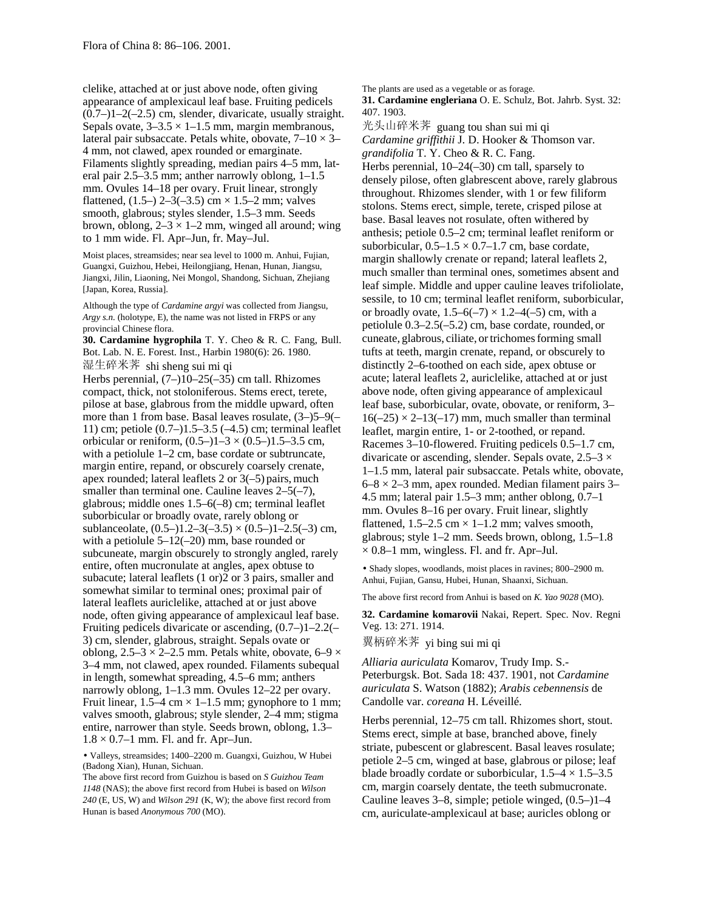clelike, attached at or just above node, often giving appearance of amplexicaul leaf base. Fruiting pedicels  $(0.7-11-2(-2.5)$  cm, slender, divaricate, usually straight. Sepals ovate,  $3-3.5 \times 1-1.5$  mm, margin membranous, lateral pair subsaccate. Petals white, obovate,  $7-10 \times 3-$ 4 mm, not clawed, apex rounded or emarginate. Filaments slightly spreading, median pairs 4–5 mm, lateral pair 2.5–3.5 mm; anther narrowly oblong, 1–1.5 mm. Ovules 14–18 per ovary. Fruit linear, strongly flattened,  $(1.5-)$  2-3(-3.5) cm  $\times$  1.5-2 mm; valves smooth, glabrous; styles slender, 1.5–3 mm. Seeds brown, oblong,  $2-3 \times 1-2$  mm, winged all around; wing to 1 mm wide. Fl. Apr–Jun, fr. May–Jul.

Moist places, streamsides; near sea level to 1000 m. Anhui, Fujian, Guangxi, Guizhou, Hebei, Heilongjiang, Henan, Hunan, Jiangsu, Jiangxi, Jilin, Liaoning, Nei Mongol, Shandong, Sichuan, Zhejiang [Japan, Korea, Russia].

Although the type of *Cardamine argyi* was collected from Jiangsu, *Argy s.n.* (holotype, E), the name was not listed in FRPS or any provincial Chinese flora.

**30. Cardamine hygrophila** T. Y. Cheo & R. C. Fang, Bull. Bot. Lab. N. E. Forest. Inst., Harbin 1980(6): 26. 1980. 湿生碎米荠 shi sheng sui mi qi Herbs perennial,  $(7-)10-25(-35)$  cm tall. Rhizomes compact, thick, not stoloniferous. Stems erect, terete, pilose at base, glabrous from the middle upward, often more than 1 from base. Basal leaves rosulate, (3–)5–9(– 11) cm; petiole (0.7–)1.5–3.5 (–4.5) cm; terminal leaflet orbicular or reniform,  $(0.5-11-3 \times (0.5-11.5-3.5)$  cm, with a petiolule 1–2 cm, base cordate or subtruncate, margin entire, repand, or obscurely coarsely crenate, apex rounded; lateral leaflets  $2$  or  $3(-5)$  pairs, much smaller than terminal one. Cauline leaves  $2-5(-7)$ , glabrous; middle ones 1.5–6(–8) cm; terminal leaflet suborbicular or broadly ovate, rarely oblong or sublanceolate,  $(0.5-)1.2-3(-3.5) \times (0.5-)1-2.5(-3)$  cm, with a petiolule 5–12(–20) mm, base rounded or subcuneate, margin obscurely to strongly angled, rarely entire, often mucronulate at angles, apex obtuse to subacute; lateral leaflets (1 or)2 or 3 pairs, smaller and somewhat similar to terminal ones; proximal pair of lateral leaflets auriclelike, attached at or just above node, often giving appearance of amplexicaul leaf base. Fruiting pedicels divaricate or ascending, (0.7–)1–2.2(– 3) cm, slender, glabrous, straight. Sepals ovate or oblong,  $2.5-3 \times 2-2.5$  mm. Petals white, obovate, 6–9  $\times$ 3–4 mm, not clawed, apex rounded. Filaments subequal in length, somewhat spreading, 4.5–6 mm; anthers narrowly oblong, 1–1.3 mm. Ovules 12–22 per ovary. Fruit linear,  $1.5-4$  cm  $\times$  1-1.5 mm; gynophore to 1 mm; valves smooth, glabrous; style slender, 2–4 mm; stigma entire, narrower than style. Seeds brown, oblong, 1.3–  $1.8 \times 0.7$ –1 mm. Fl. and fr. Apr–Jun.

• Valleys, streamsides; 1400–2200 m. Guangxi, Guizhou, W Hubei (Badong Xian), Hunan, Sichuan.

The above first record from Guizhou is based on *S Guizhou Team 1148* (NAS); the above first record from Hubei is based on *Wilson 240* (E, US, W) and *Wilson 291* (K, W); the above first record from Hunan is based *Anonymous 700* (MO).

The plants are used as a vegetable or as forage.

**31. Cardamine engleriana** O. E. Schulz, Bot. Jahrb. Syst. 32: 407. 1903.

光头山碎米荠 guang tou shan sui mi qi *Cardamine griffithii* J. D. Hooker & Thomson var. *grandifolia* T. Y. Cheo & R. C. Fang.

Herbs perennial, 10–24(–30) cm tall, sparsely to densely pilose, often glabrescent above, rarely glabrous throughout. Rhizomes slender, with 1 or few filiform stolons. Stems erect, simple, terete, crisped pilose at base. Basal leaves not rosulate, often withered by anthesis; petiole 0.5–2 cm; terminal leaflet reniform or suborbicular,  $0.5-1.5 \times 0.7-1.7$  cm, base cordate, margin shallowly crenate or repand; lateral leaflets 2, much smaller than terminal ones, sometimes absent and leaf simple. Middle and upper cauline leaves trifoliolate, sessile, to 10 cm; terminal leaflet reniform, suborbicular, or broadly ovate,  $1.5-6(-7) \times 1.2-4(-5)$  cm, with a petiolule 0.3–2.5(–5.2) cm, base cordate, rounded, or cuneate, glabrous, ciliate, ortrichomesforming small tufts at teeth, margin crenate, repand, or obscurely to distinctly 2–6-toothed on each side, apex obtuse or acute; lateral leaflets 2, auriclelike, attached at or just above node, often giving appearance of amplexicaul leaf base, suborbicular, ovate, obovate, or reniform, 3–  $16(-25) \times 2 - 13(-17)$  mm, much smaller than terminal leaflet, margin entire, 1- or 2-toothed, or repand. Racemes 3–10-flowered. Fruiting pedicels 0.5–1.7 cm, divaricate or ascending, slender. Sepals ovate,  $2.5-3 \times$ 1–1.5 mm, lateral pair subsaccate. Petals white, obovate,  $6-8 \times 2-3$  mm, apex rounded. Median filament pairs 3– 4.5 mm; lateral pair 1.5–3 mm; anther oblong, 0.7–1 mm. Ovules 8–16 per ovary. Fruit linear, slightly flattened,  $1.5-2.5$  cm  $\times$  1-1.2 mm; valves smooth, glabrous; style 1–2 mm. Seeds brown, oblong, 1.5–1.8  $\times$  0.8–1 mm, wingless. Fl. and fr. Apr–Jul.

• Shady slopes, woodlands, moist places in ravines; 800–2900 m. Anhui, Fujian, Gansu, Hubei, Hunan, Shaanxi, Sichuan.

The above first record from Anhui is based on *K. Yao 9028* (MO).

**32. Cardamine komarovii** Nakai, Repert. Spec. Nov. Regni Veg. 13: 271. 1914.

翼柄碎米荠 yi bing sui mi qi

*Alliaria auriculata* Komarov, Trudy Imp. S.- Peterburgsk. Bot. Sada 18: 437. 1901, not *Cardamine auriculata* S. Watson (1882); *Arabis cebennensis* de Candolle var. *coreana* H. Léveillé.

Herbs perennial, 12–75 cm tall. Rhizomes short, stout. Stems erect, simple at base, branched above, finely striate, pubescent or glabrescent. Basal leaves rosulate; petiole 2–5 cm, winged at base, glabrous or pilose; leaf blade broadly cordate or suborbicular,  $1.5-4 \times 1.5-3.5$ cm, margin coarsely dentate, the teeth submucronate. Cauline leaves 3–8, simple; petiole winged, (0.5–)1–4 cm, auriculate-amplexicaul at base; auricles oblong or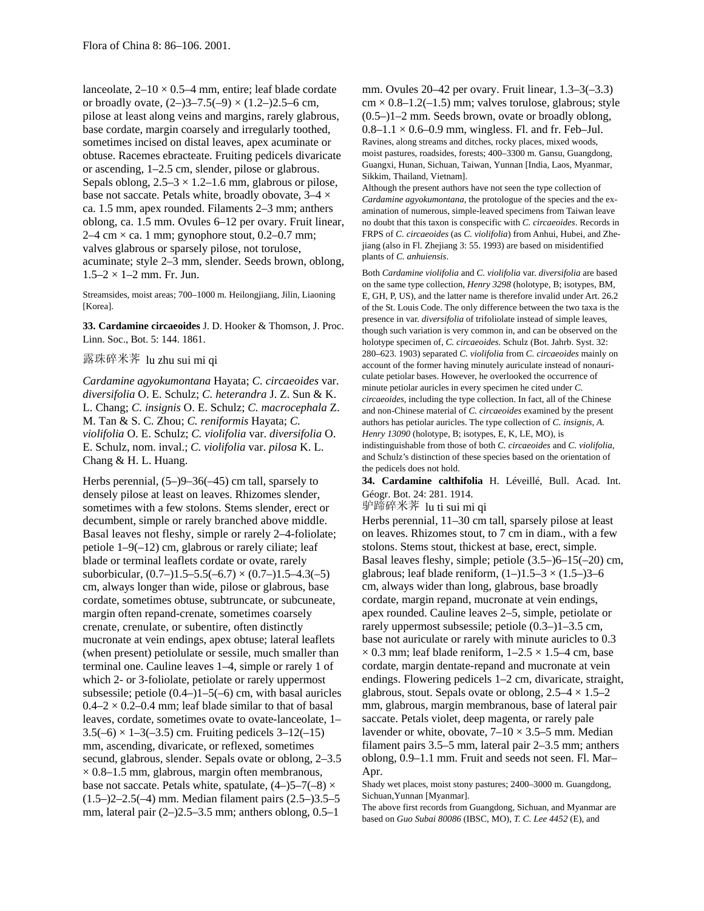lanceolate,  $2-10 \times 0.5-4$  mm, entire; leaf blade cordate or broadly ovate,  $(2-)3-7.5(-9) \times (1.2-)2.5-6$  cm, pilose at least along veins and margins, rarely glabrous, base cordate, margin coarsely and irregularly toothed, sometimes incised on distal leaves, apex acuminate or obtuse. Racemes ebracteate. Fruiting pedicels divaricate or ascending, 1–2.5 cm, slender, pilose or glabrous. Sepals oblong,  $2.5-3 \times 1.2-1.6$  mm, glabrous or pilose, base not saccate. Petals white, broadly obovate, 3–4 × ca. 1.5 mm, apex rounded. Filaments 2–3 mm; anthers oblong, ca. 1.5 mm. Ovules 6–12 per ovary. Fruit linear,  $2-4$  cm  $\times$  ca. 1 mm; gynophore stout, 0.2–0.7 mm; valves glabrous or sparsely pilose, not torulose, acuminate; style 2–3 mm, slender. Seeds brown, oblong,  $1.5-2 \times 1-2$  mm. Fr. Jun.

Streamsides, moist areas; 700–1000 m. Heilongjiang, Jilin, Liaoning [Korea].

**33. Cardamine circaeoides** J. D. Hooker & Thomson, J. Proc. Linn. Soc., Bot. 5: 144. 1861.

露珠碎米荠 lu zhu sui mi qi

*Cardamine agyokumontana* Hayata; *C. circaeoides* var. *diversifolia* O. E. Schulz; *C. heterandra* J. Z. Sun & K. L. Chang; *C. insignis* O. E. Schulz; *C. macrocephala* Z. M. Tan & S. C. Zhou; *C. reniformis* Hayata; *C. violifolia* O. E. Schulz; *C. violifolia* var. *diversifolia* O. E. Schulz, nom. inval.; *C. violifolia* var. *pilosa* K. L. Chang & H. L. Huang.

Herbs perennial, (5–)9–36(–45) cm tall, sparsely to densely pilose at least on leaves. Rhizomes slender, sometimes with a few stolons. Stems slender, erect or decumbent, simple or rarely branched above middle. Basal leaves not fleshy, simple or rarely 2–4-foliolate; petiole 1–9(–12) cm, glabrous or rarely ciliate; leaf blade or terminal leaflets cordate or ovate, rarely suborbicular,  $(0.7-)1.5-5.5(-6.7) \times (0.7-)1.5-4.3(-5)$ cm, always longer than wide, pilose or glabrous, base cordate, sometimes obtuse, subtruncate, or subcuneate, margin often repand-crenate, sometimes coarsely crenate, crenulate, or subentire, often distinctly mucronate at vein endings, apex obtuse; lateral leaflets (when present) petiolulate or sessile, much smaller than terminal one. Cauline leaves 1–4, simple or rarely 1 of which 2- or 3-foliolate, petiolate or rarely uppermost subsessile; petiole  $(0.4-)1-5(-6)$  cm, with basal auricles  $0.4-2 \times 0.2-0.4$  mm; leaf blade similar to that of basal leaves, cordate, sometimes ovate to ovate-lanceolate, 1–  $3.5(-6) \times 1 - 3(-3.5)$  cm. Fruiting pedicels  $3 - 12(-15)$ mm, ascending, divaricate, or reflexed, sometimes secund, glabrous, slender. Sepals ovate or oblong, 2–3.5  $\times$  0.8–1.5 mm, glabrous, margin often membranous, base not saccate. Petals white, spatulate,  $(4-)5-7(-8) \times$ (1.5–)2–2.5(–4) mm. Median filament pairs (2.5–)3.5–5 mm, lateral pair  $(2-)2.5-3.5$  mm; anthers oblong,  $0.5-1$ 

mm. Ovules 20–42 per ovary. Fruit linear, 1.3–3(–3.3)  $cm \times 0.8{\text -}1.2{\text (-}1.5)$  mm; valves torulose, glabrous; style (0.5–)1–2 mm. Seeds brown, ovate or broadly oblong,  $0.8-1.1 \times 0.6-0.9$  mm, wingless. Fl. and fr. Feb–Jul. Ravines, along streams and ditches, rocky places, mixed woods, moist pastures, roadsides, forests; 400–3300 m. Gansu, Guangdong, Guangxi, Hunan, Sichuan, Taiwan, Yunnan [India, Laos, Myanmar, Sikkim, Thailand, Vietnam].

Although the present authors have not seen the type collection of *Cardamine agyokumontana,* the protologue of the species and the examination of numerous, simple-leaved specimens from Taiwan leave no doubt that this taxon is conspecific with *C. circaeoides*. Records in FRPS of *C. circaeoides* (as *C. violifolia*) from Anhui, Hubei, and Zhejiang (also in Fl. Zhejiang 3: 55. 1993) are based on misidentified plants of *C. anhuiensis*.

Both *Cardamine violifolia* and *C. violifolia* var. *diversifolia* are based on the same type collection, *Henry 3298* (holotype, B; isotypes, BM, E, GH, P, US), and the latter name is therefore invalid under Art. 26.2 of the St. Louis Code. The only difference between the two taxa is the presence in var. *diversifolia* of trifoliolate instead of simple leaves, though such variation is very common in, and can be observed on the holotype specimen of, *C. circaeoides*. Schulz (Bot. Jahrb. Syst. 32: 280–623. 1903) separated *C. violifolia* from *C. circaeoides* mainly on account of the former having minutely auriculate instead of nonauriculate petiolar bases. However, he overlooked the occurrence of minute petiolar auricles in every specimen he cited under *C. circaeoides,* including the type collection. In fact, all of the Chinese and non-Chinese material of *C. circaeoides* examined by the present authors has petiolar auricles. The type collection of *C. insignis, A. Henry 13090* (holotype, B; isotypes, E, K, LE, MO), is indistinguishable from those of both *C. circaeoides* and *C. violifolia,* and Schulz's distinction of these species based on the orientation of the pedicels does not hold.

**34. Cardamine calthifolia** H. Léveillé, Bull. Acad. Int. Géogr. Bot. 24: 281. 1914.

驴蹄碎米荠 lu ti sui mi qi

Herbs perennial, 11–30 cm tall, sparsely pilose at least on leaves. Rhizomes stout, to 7 cm in diam., with a few stolons. Stems stout, thickest at base, erect, simple. Basal leaves fleshy, simple; petiole (3.5–)6–15(–20) cm, glabrous; leaf blade reniform,  $(1-)1.5-3 \times (1.5-)3-6$ cm, always wider than long, glabrous, base broadly cordate, margin repand, mucronate at vein endings, apex rounded. Cauline leaves 2–5, simple, petiolate or rarely uppermost subsessile; petiole (0.3–)1–3.5 cm, base not auriculate or rarely with minute auricles to 0.3  $\times$  0.3 mm; leaf blade reniform, 1–2.5  $\times$  1.5–4 cm, base cordate, margin dentate-repand and mucronate at vein endings. Flowering pedicels 1–2 cm, divaricate, straight, glabrous, stout. Sepals ovate or oblong,  $2.5-4 \times 1.5-2$ mm, glabrous, margin membranous, base of lateral pair saccate. Petals violet, deep magenta, or rarely pale lavender or white, obovate,  $7-10 \times 3.5-5$  mm. Median filament pairs 3.5–5 mm, lateral pair 2–3.5 mm; anthers oblong, 0.9–1.1 mm. Fruit and seeds not seen. Fl. Mar– Apr.

Shady wet places, moist stony pastures; 2400–3000 m. Guangdong, Sichuan,Yunnan [Myanmar].

The above first records from Guangdong, Sichuan, and Myanmar are based on *Guo Subai 80086* (IBSC, MO), *T. C. Lee 4452* (E), and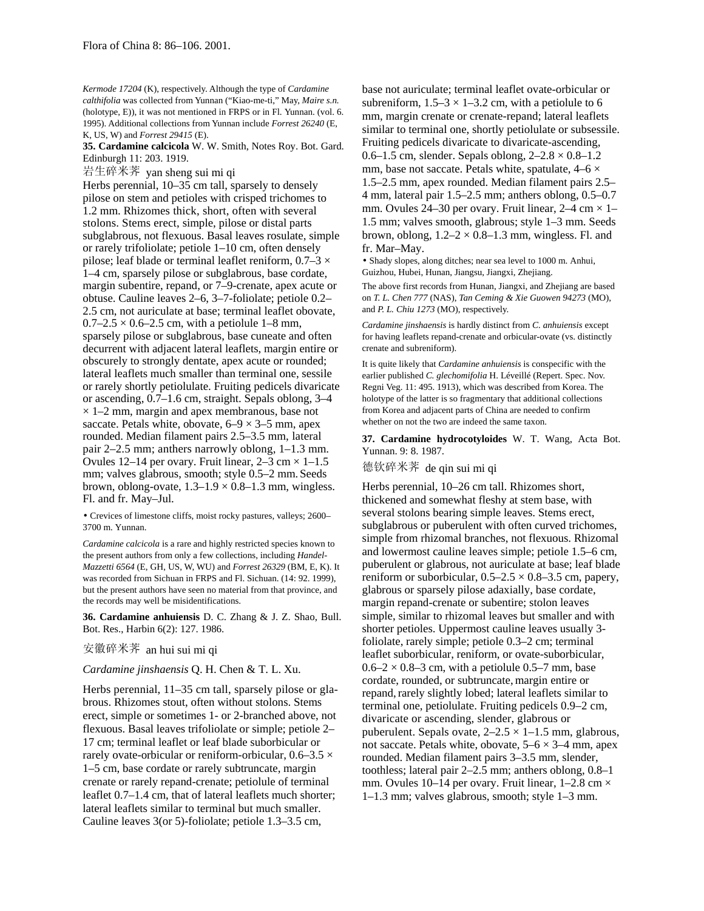*Kermode 17204* (K), respectively. Although the type of *Cardamine calthifolia* was collected from Yunnan ("Kiao-me-ti," May, *Maire s.n.* (holotype, E)), it was not mentioned in FRPS or in Fl. Yunnan. (vol. 6. 1995). Additional collections from Yunnan include *Forrest 26240* (E, K, US, W) and *Forrest 29415* (E).

**35. Cardamine calcicola** W. W. Smith, Notes Roy. Bot. Gard. Edinburgh 11: 203. 1919.

岩生碎米荠 yan sheng sui mi qi

Herbs perennial, 10–35 cm tall, sparsely to densely pilose on stem and petioles with crisped trichomes to 1.2 mm. Rhizomes thick, short, often with several stolons. Stems erect, simple, pilose or distal parts subglabrous, not flexuous. Basal leaves rosulate, simple or rarely trifoliolate; petiole 1–10 cm, often densely pilose; leaf blade or terminal leaflet reniform,  $0.7-3 \times$ 1–4 cm, sparsely pilose or subglabrous, base cordate, margin subentire, repand, or 7–9-crenate, apex acute or obtuse. Cauline leaves 2–6, 3–7-foliolate; petiole 0.2– 2.5 cm, not auriculate at base; terminal leaflet obovate,  $0.7 - 2.5 \times 0.6 - 2.5$  cm, with a petiolule 1–8 mm, sparsely pilose or subglabrous, base cuneate and often decurrent with adjacent lateral leaflets, margin entire or obscurely to strongly dentate, apex acute or rounded; lateral leaflets much smaller than terminal one, sessile or rarely shortly petiolulate. Fruiting pedicels divaricate or ascending, 0.7–1.6 cm, straight. Sepals oblong, 3–4  $\times$  1–2 mm, margin and apex membranous, base not saccate. Petals white, obovate,  $6-9 \times 3-5$  mm, apex rounded. Median filament pairs 2.5–3.5 mm, lateral pair 2–2.5 mm; anthers narrowly oblong, 1–1.3 mm. Ovules 12–14 per ovary. Fruit linear,  $2-3$  cm  $\times$  1–1.5 mm; valves glabrous, smooth; style 0.5–2 mm. Seeds brown, oblong-ovate,  $1.3-1.9 \times 0.8-1.3$  mm, wingless. Fl. and fr. May–Jul.

• Crevices of limestone cliffs, moist rocky pastures, valleys; 2600– 3700 m. Yunnan.

*Cardamine calcicola* is a rare and highly restricted species known to the present authors from only a few collections, including *Handel-Mazzetti 6564* (E, GH, US, W, WU) and *Forrest 26329* (BM, E, K). It was recorded from Sichuan in FRPS and Fl. Sichuan. (14: 92. 1999), but the present authors have seen no material from that province, and the records may well be misidentifications.

**36. Cardamine anhuiensis** D. C. Zhang & J. Z. Shao, Bull. Bot. Res., Harbin 6(2): 127. 1986.

## 安徽碎米荠 an hui sui mi qi

*Cardamine jinshaensis* Q. H. Chen & T. L. Xu.

Herbs perennial, 11–35 cm tall, sparsely pilose or glabrous. Rhizomes stout, often without stolons. Stems erect, simple or sometimes 1- or 2-branched above, not flexuous. Basal leaves trifoliolate or simple; petiole 2– 17 cm; terminal leaflet or leaf blade suborbicular or rarely ovate-orbicular or reniform-orbicular,  $0.6-3.5 \times$ 1–5 cm, base cordate or rarely subtruncate, margin crenate or rarely repand-crenate; petiolule of terminal leaflet 0.7–1.4 cm, that of lateral leaflets much shorter; lateral leaflets similar to terminal but much smaller. Cauline leaves 3(or 5)-foliolate; petiole 1.3–3.5 cm,

base not auriculate; terminal leaflet ovate-orbicular or subreniform,  $1.5-3 \times 1-3.2$  cm, with a petiolule to 6 mm, margin crenate or crenate-repand; lateral leaflets similar to terminal one, shortly petiolulate or subsessile. Fruiting pedicels divaricate to divaricate-ascending, 0.6–1.5 cm, slender. Sepals oblong,  $2-2.8 \times 0.8$ –1.2 mm, base not saccate. Petals white, spatulate,  $4-6 \times$ 1.5–2.5 mm, apex rounded. Median filament pairs 2.5– 4 mm, lateral pair 1.5–2.5 mm; anthers oblong, 0.5–0.7 mm. Ovules 24–30 per ovary. Fruit linear,  $2-4$  cm  $\times$  1– 1.5 mm; valves smooth, glabrous; style 1–3 mm. Seeds brown, oblong,  $1.2-2 \times 0.8-1.3$  mm, wingless. Fl. and fr. Mar–May.

• Shady slopes, along ditches; near sea level to 1000 m. Anhui, Guizhou, Hubei, Hunan, Jiangsu, Jiangxi, Zhejiang.

The above first records from Hunan, Jiangxi, and Zhejiang are based on *T. L. Chen 777* (NAS), *Tan Ceming & Xie Guowen 94273* (MO), and *P. L. Chiu 1273* (MO), respectively.

*Cardamine jinshaensis* is hardly distinct from *C. anhuiensis* except for having leaflets repand-crenate and orbicular-ovate (vs. distinctly crenate and subreniform).

It is quite likely that *Cardamine anhuiensis* is conspecific with the earlier published *C. glechomifolia* H. Léveillé (Repert. Spec. Nov. Regni Veg. 11: 495. 1913), which was described from Korea. The holotype of the latter is so fragmentary that additional collections from Korea and adjacent parts of China are needed to confirm whether on not the two are indeed the same taxon.

**37. Cardamine hydrocotyloides** W. T. Wang, Acta Bot. Yunnan. 9: 8. 1987.

德钦碎米荠 de qin sui mi qi

Herbs perennial, 10–26 cm tall. Rhizomes short, thickened and somewhat fleshy at stem base, with several stolons bearing simple leaves. Stems erect, subglabrous or puberulent with often curved trichomes, simple from rhizomal branches, not flexuous. Rhizomal and lowermost cauline leaves simple; petiole 1.5–6 cm, puberulent or glabrous, not auriculate at base; leaf blade reniform or suborbicular,  $0.5-2.5 \times 0.8-3.5$  cm, papery, glabrous or sparsely pilose adaxially, base cordate, margin repand-crenate or subentire; stolon leaves simple, similar to rhizomal leaves but smaller and with shorter petioles. Uppermost cauline leaves usually 3 foliolate, rarely simple; petiole 0.3–2 cm; terminal leaflet suborbicular, reniform, or ovate-suborbicular,  $0.6-2 \times 0.8-3$  cm, with a petiolule 0.5–7 mm, base cordate, rounded, or subtruncate, margin entire or repand, rarely slightly lobed; lateral leaflets similar to terminal one, petiolulate. Fruiting pedicels 0.9–2 cm, divaricate or ascending, slender, glabrous or puberulent. Sepals ovate,  $2-2.5 \times 1-1.5$  mm, glabrous, not saccate. Petals white, obovate,  $5-6 \times 3-4$  mm, apex rounded. Median filament pairs 3–3.5 mm, slender, toothless; lateral pair 2–2.5 mm; anthers oblong, 0.8–1 mm. Ovules 10–14 per ovary. Fruit linear,  $1-2.8$  cm  $\times$ 1–1.3 mm; valves glabrous, smooth; style 1–3 mm.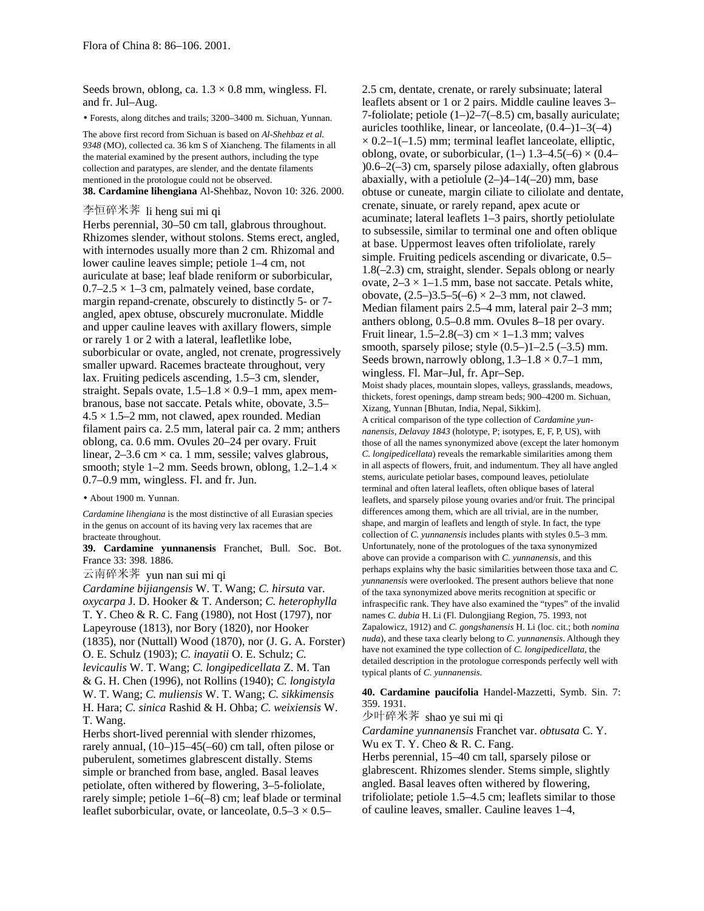Seeds brown, oblong, ca.  $1.3 \times 0.8$  mm, wingless. Fl. and fr. Jul–Aug.

• Forests, along ditches and trails; 3200–3400 m. Sichuan, Yunnan.

The above first record from Sichuan is based on *Al-Shehbaz et al. 9348* (MO), collected ca. 36 km S of Xiancheng. The filaments in all the material examined by the present authors, including the type collection and paratypes, are slender, and the dentate filaments mentioned in the protologue could not be observed. **38. Cardamine lihengiana** Al-Shehbaz, Novon 10: 326. 2000.

李恒碎米荠 li heng sui mi qi

Herbs perennial, 30–50 cm tall, glabrous throughout. Rhizomes slender, without stolons. Stems erect, angled, with internodes usually more than 2 cm. Rhizomal and lower cauline leaves simple; petiole 1–4 cm, not auriculate at base; leaf blade reniform or suborbicular,  $0.7-2.5 \times 1-3$  cm, palmately veined, base cordate, margin repand-crenate, obscurely to distinctly 5- or 7 angled, apex obtuse, obscurely mucronulate. Middle and upper cauline leaves with axillary flowers, simple or rarely 1 or 2 with a lateral, leafletlike lobe, suborbicular or ovate, angled, not crenate, progressively smaller upward. Racemes bracteate throughout, very lax. Fruiting pedicels ascending, 1.5–3 cm, slender, straight. Sepals ovate,  $1.5-1.8 \times 0.9-1$  mm, apex membranous, base not saccate. Petals white, obovate, 3.5–  $4.5 \times 1.5$ –2 mm, not clawed, apex rounded. Median filament pairs ca. 2.5 mm, lateral pair ca. 2 mm; anthers oblong, ca. 0.6 mm. Ovules 20–24 per ovary. Fruit linear,  $2-3.6$  cm  $\times$  ca. 1 mm, sessile; valves glabrous, smooth; style 1–2 mm. Seeds brown, oblong,  $1.2$ –1.4  $\times$ 0.7–0.9 mm, wingless. Fl. and fr. Jun.

• About 1900 m. Yunnan.

*Cardamine lihengiana* is the most distinctive of all Eurasian species in the genus on account of its having very lax racemes that are bracteate throughout.

**39. Cardamine yunnanensis** Franchet, Bull. Soc. Bot. France 33: 398. 1886.

云南碎米荠 yun nan sui mi qi

*Cardamine bijiangensis* W. T. Wang; *C. hirsuta* var. *oxycarpa* J. D. Hooker & T. Anderson; *C. heterophylla* T. Y. Cheo & R. C. Fang (1980), not Host (1797), nor Lapeyrouse (1813), nor Bory (1820), nor Hooker (1835), nor (Nuttall) Wood (1870), nor (J. G. A. Forster) O. E. Schulz (1903); *C. inayatii* O. E. Schulz; *C. levicaulis* W. T. Wang; *C. longipedicellata* Z. M. Tan & G. H. Chen (1996), not Rollins (1940); *C. longistyla* W. T. Wang; *C. muliensis* W. T. Wang; *C. sikkimensis* H. Hara; *C. sinica* Rashid & H. Ohba; *C. weixiensis* W.

T. Wang.

Herbs short-lived perennial with slender rhizomes, rarely annual, (10–)15–45(–60) cm tall, often pilose or puberulent, sometimes glabrescent distally. Stems simple or branched from base, angled. Basal leaves petiolate, often withered by flowering, 3–5-foliolate, rarely simple; petiole 1–6(–8) cm; leaf blade or terminal leaflet suborbicular, ovate, or lanceolate,  $0.5-3 \times 0.5-$  2.5 cm, dentate, crenate, or rarely subsinuate; lateral leaflets absent or 1 or 2 pairs. Middle cauline leaves 3– 7-foliolate; petiole (1–)2–7(–8.5) cm, basally auriculate; auricles toothlike, linear, or lanceolate,  $(0.4-11-3(-4))$  $\times$  0.2–1(–1.5) mm; terminal leaflet lanceolate, elliptic, oblong, ovate, or suborbicular,  $(1-)$  1.3–4.5(–6)  $\times$  (0.4– )0.6–2(–3) cm, sparsely pilose adaxially, often glabrous abaxially, with a petiolule  $(2-4-14(-20)$  mm, base obtuse or cuneate, margin ciliate to ciliolate and dentate, crenate, sinuate, or rarely repand, apex acute or acuminate; lateral leaflets 1–3 pairs, shortly petiolulate to subsessile, similar to terminal one and often oblique at base. Uppermost leaves often trifoliolate, rarely simple. Fruiting pedicels ascending or divaricate, 0.5– 1.8(–2.3) cm, straight, slender. Sepals oblong or nearly ovate,  $2-3 \times 1-1.5$  mm, base not saccate. Petals white, obovate,  $(2.5-)3.5-5(-6) \times 2-3$  mm, not clawed. Median filament pairs 2.5–4 mm, lateral pair 2–3 mm; anthers oblong, 0.5–0.8 mm. Ovules 8–18 per ovary. Fruit linear,  $1.5-2.8(-3)$  cm  $\times$  1-1.3 mm; valves smooth, sparsely pilose; style  $(0.5-)1-2.5$   $(-3.5)$  mm. Seeds brown, narrowly oblong,  $1.3-1.8 \times 0.7-1$  mm, wingless. Fl. Mar–Jul, fr. Apr–Sep. Moist shady places, mountain slopes, valleys, grasslands, meadows, thickets, forest openings, damp stream beds; 900–4200 m. Sichuan, Xizang, Yunnan [Bhutan, India, Nepal, Sikkim]. A critical comparison of the type collection of *Cardamine yunnanensis, Delavay 1843* (holotype, P; isotypes, E, F, P, US), with those of all the names synonymized above (except the later homonym *C. longipedicellata*) reveals the remarkable similarities among them in all aspects of flowers, fruit, and indumentum. They all have angled stems, auriculate petiolar bases, compound leaves, petiolulate terminal and often lateral leaflets, often oblique bases of lateral leaflets, and sparsely pilose young ovaries and/or fruit. The principal differences among them, which are all trivial, are in the number, shape, and margin of leaflets and length of style. In fact, the type collection of *C. yunnanensis* includes plants with styles 0.5–3 mm. Unfortunately, none of the protologues of the taxa synonymized above can provide a comparison with *C. yunnanensis,* and this perhaps explains why the basic similarities between those taxa and *C. yunnanensis* were overlooked. The present authors believe that none of the taxa synonymized above merits recognition at specific or infraspecific rank. They have also examined the "types" of the invalid

names *C. dubia* H. Li (Fl. Dulongjiang Region, 75. 1993, not Zapalowicz, 1912) and *C. gongshanensis* H. Li (loc. cit.; both *nomina nuda*), and these taxa clearly belong to *C. yunnanensis*. Although they have not examined the type collection of *C. longipedicellata,* the detailed description in the protologue corresponds perfectly well with typical plants of *C. yunnanensis*.

**40. Cardamine paucifolia** Handel-Mazzetti, Symb. Sin. 7: 359. 1931.

少叶碎米荠 shao ye sui mi qi

*Cardamine yunnanensis* Franchet var. *obtusata* C. Y. Wu ex T. Y. Cheo & R. C. Fang.

Herbs perennial, 15–40 cm tall, sparsely pilose or glabrescent. Rhizomes slender. Stems simple, slightly angled. Basal leaves often withered by flowering, trifoliolate; petiole 1.5–4.5 cm; leaflets similar to those of cauline leaves, smaller. Cauline leaves 1–4,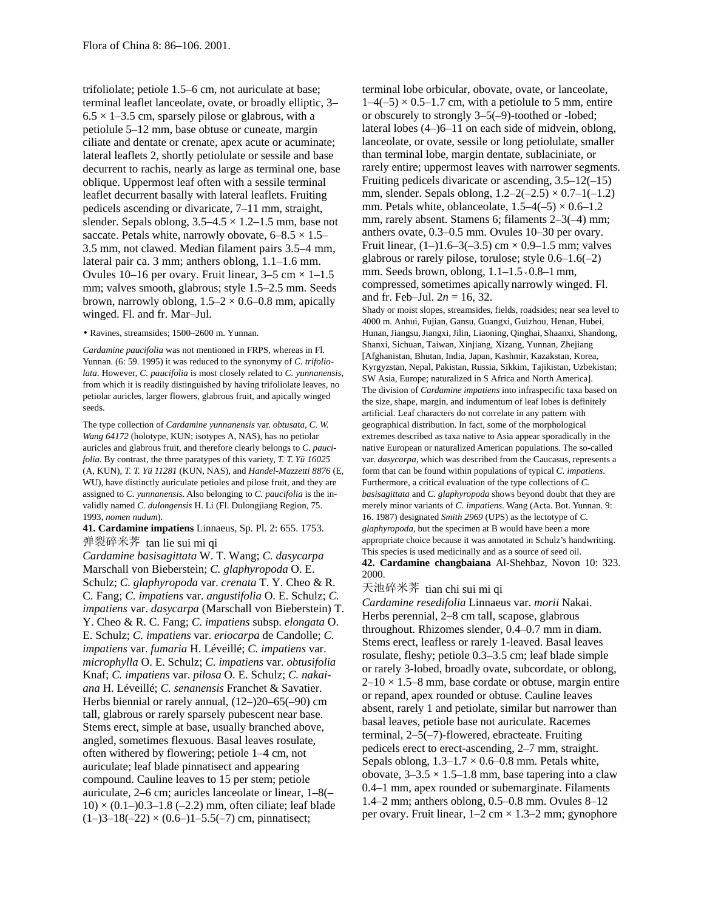trifoliolate; petiole 1.5–6 cm, not auriculate at base; terminal leaflet lanceolate, ovate, or broadly elliptic, 3–  $6.5 \times 1$ –3.5 cm, sparsely pilose or glabrous, with a petiolule 5–12 mm, base obtuse or cuneate, margin ciliate and dentate or crenate, apex acute or acuminate; lateral leaflets 2, shortly petiolulate or sessile and base decurrent to rachis, nearly as large as terminal one, base oblique. Uppermost leaf often with a sessile terminal leaflet decurrent basally with lateral leaflets. Fruiting pedicels ascending or divaricate, 7–11 mm, straight, slender. Sepals oblong,  $3.5-4.5 \times 1.2-1.5$  mm, base not saccate. Petals white, narrowly obovate,  $6-8.5 \times 1.5-$ 3.5 mm, not clawed. Median filament pairs 3.5–4 mm, lateral pair ca. 3 mm; anthers oblong, 1.1–1.6 mm. Ovules 10–16 per ovary. Fruit linear,  $3-5$  cm  $\times$  1–1.5 mm; valves smooth, glabrous; style 1.5–2.5 mm. Seeds brown, narrowly oblong,  $1.5-2 \times 0.6-0.8$  mm, apically winged. Fl. and fr. Mar–Jul.

• Ravines, streamsides; 1500–2600 m. Yunnan.

*Cardamine paucifolia* was not mentioned in FRPS, whereas in Fl. Yunnan. (6: 59. 1995) it was reduced to the synonymy of *C. trifoliolata*. However, *C. paucifolia* is most closely related to *C. yunnanensis,* from which it is readily distinguished by having trifoliolate leaves, no petiolar auricles, larger flowers, glabrous fruit, and apically winged seeds.

The type collection of *Cardamine yunnanensis* var. *obtusata, C. W. Wang 64172* (holotype, KUN; isotypes A, NAS), has no petiolar auricles and glabrous fruit, and therefore clearly belongs to *C. paucifolia*. By contrast, the three paratypes of this variety, *T. T. Yü 16025* (A, KUN), *T. T. Yü 11281* (KUN, NAS), and *Handel-Mazzetti 8876* (E, WU), have distinctly auriculate petioles and pilose fruit, and they are assigned to *C. yunnanensis*. Also belonging to *C. paucifolia* is the invalidly named *C. dulongensis* H. Li (Fl. Dulongjiang Region, 75. 1993, *nomen nudum*).

# **41. Cardamine impatiens** Linnaeus, Sp. Pl. 2: 655. 1753. 弹裂碎米荠 tan lie sui mi qi

*Cardamine basisagittata* W. T. Wang; *C. dasycarpa* Marschall von Bieberstein; *C. glaphyropoda* O. E. Schulz; *C. glaphyropoda* var. *crenata* T. Y. Cheo & R. C. Fang; *C. impatiens* var. *angustifolia* O. E. Schulz; *C. impatiens* var. *dasycarpa* (Marschall von Bieberstein) T. Y. Cheo & R. C. Fang; *C. impatiens* subsp. *elongata* O. E. Schulz; *C. impatiens* var. *eriocarpa* de Candolle; *C. impatiens* var. *fumaria* H. Léveillé; *C. impatiens* var. *microphylla* O. E. Schulz; *C. impatiens* var. *obtusifolia* Knaf; *C. impatiens* var. *pilosa* O. E. Schulz; *C. nakaiana* H. Léveillé; *C. senanensis* Franchet & Savatier. Herbs biennial or rarely annual, (12–)20–65(–90) cm tall, glabrous or rarely sparsely pubescent near base. Stems erect, simple at base, usually branched above, angled, sometimes flexuous. Basal leaves rosulate, often withered by flowering; petiole 1–4 cm, not auriculate; leaf blade pinnatisect and appearing compound. Cauline leaves to 15 per stem; petiole auriculate, 2–6 cm; auricles lanceolate or linear, 1–8(–  $10 \times (0.1 - 0.3 - 1.8 (-2.2)$  mm, often ciliate; leaf blade  $(1-)3-18(-22) \times (0.6-)1-5.5(-7)$  cm, pinnatisect;

terminal lobe orbicular, obovate, ovate, or lanceolate,  $1-4(-5) \times 0.5-1.7$  cm, with a petiolule to 5 mm, entire or obscurely to strongly 3–5(–9)-toothed or -lobed; lateral lobes (4–)6–11 on each side of midvein, oblong, lanceolate, or ovate, sessile or long petiolulate, smaller than terminal lobe, margin dentate, sublaciniate, or rarely entire; uppermost leaves with narrower segments. Fruiting pedicels divaricate or ascending,  $3.5-12(-15)$ mm, slender. Sepals oblong,  $1.2-2(-2.5) \times 0.7-1(-1.2)$ mm. Petals white, oblanceolate,  $1.5-4(-5) \times 0.6-1.2$ mm, rarely absent. Stamens 6; filaments 2–3(–4) mm; anthers ovate, 0.3–0.5 mm. Ovules 10–30 per ovary. Fruit linear,  $(1-)1.6-3(-3.5)$  cm  $\times$  0.9-1.5 mm; valves glabrous or rarely pilose, torulose; style 0.6–1.6(–2) mm. Seeds brown, oblong, 1.1–1.5 × 0.8–1 mm, compressed, sometimes apically narrowly winged. Fl. and fr. Feb–Jul. 2*n* = 16, 32.

Shady or moist slopes, streamsides, fields, roadsides; near sea level to 4000 m. Anhui, Fujian, Gansu, Guangxi, Guizhou, Henan, Hubei, Hunan, Jiangsu, Jiangxi, Jilin, Liaoning, Qinghai, Shaanxi, Shandong, Shanxi, Sichuan, Taiwan, Xinjiang, Xizang, Yunnan, Zhejiang [Afghanistan, Bhutan, India, Japan, Kashmir, Kazakstan, Korea, Kyrgyzstan, Nepal, Pakistan, Russia, Sikkim, Tajikistan, Uzbekistan; SW Asia, Europe; naturalized in S Africa and North America]. The division of *Cardamine impatiens* into infraspecific taxa based on the size, shape, margin, and indumentum of leaf lobes is definitely artificial. Leaf characters do not correlate in any pattern with geographical distribution. In fact, some of the morphological extremes described as taxa native to Asia appear sporadically in the native European or naturalized American populations. The so-called var. *dasycarpa,* which was described from the Caucasus, represents a form that can be found within populations of typical *C. impatiens*. Furthermore, a critical evaluation of the type collections of *C. basisagittata* and *C. glaphyropoda* shows beyond doubt that they are merely minor variants of *C. impatiens*. Wang (Acta. Bot. Yunnan. 9: 16. 1987) designated *Smith 2969* (UPS) as the lectotype of *C. glaphyropoda,* but the specimen at B would have been a more appropriate choice because it was annotated in Schulz's handwriting. This species is used medicinally and as a source of seed oil. **42. Cardamine changbaiana** Al-Shehbaz, Novon 10: 323. 2000.

# 天池碎米荠 tian chi sui mi qi

*Cardamine resedifolia* Linnaeus var. *morii* Nakai. Herbs perennial, 2–8 cm tall, scapose, glabrous throughout. Rhizomes slender, 0.4–0.7 mm in diam. Stems erect, leafless or rarely 1-leaved. Basal leaves rosulate, fleshy; petiole 0.3–3.5 cm; leaf blade simple or rarely 3-lobed, broadly ovate, subcordate, or oblong,  $2-10 \times 1.5-8$  mm, base cordate or obtuse, margin entire or repand, apex rounded or obtuse. Cauline leaves absent, rarely 1 and petiolate, similar but narrower than basal leaves, petiole base not auriculate. Racemes terminal, 2–5(–7)-flowered, ebracteate. Fruiting pedicels erect to erect-ascending, 2–7 mm, straight. Sepals oblong,  $1.3-1.7 \times 0.6-0.8$  mm. Petals white, obovate,  $3-3.5 \times 1.5-1.8$  mm, base tapering into a claw 0.4–1 mm, apex rounded or subemarginate. Filaments 1.4–2 mm; anthers oblong, 0.5–0.8 mm. Ovules 8–12 per ovary. Fruit linear,  $1-2$  cm  $\times$  1.3–2 mm; gynophore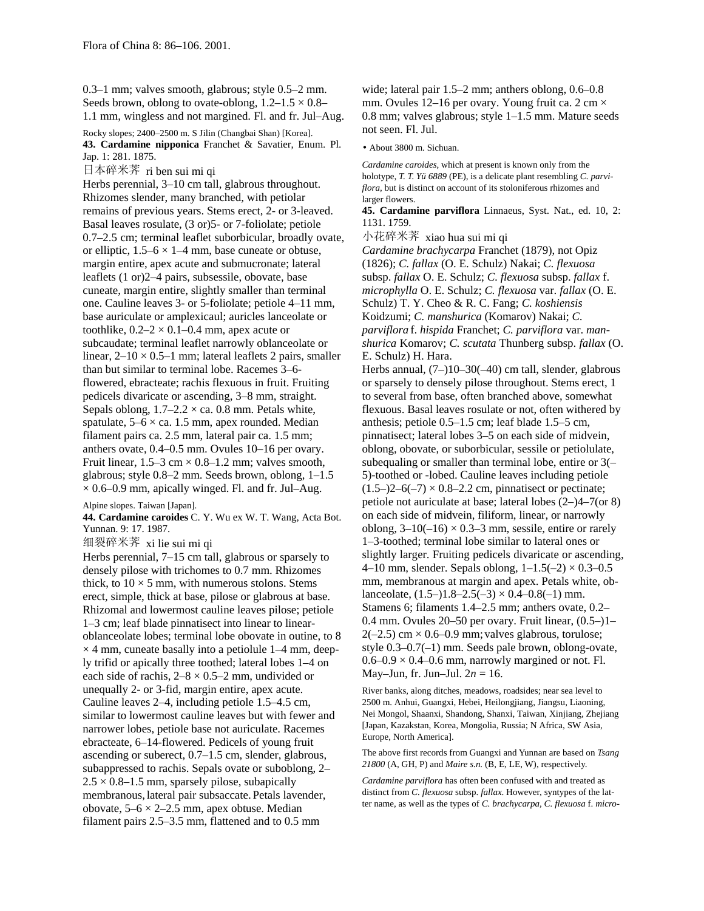0.3–1 mm; valves smooth, glabrous; style 0.5–2 mm. Seeds brown, oblong to ovate-oblong,  $1.2-1.5 \times 0.8-$ 1.1 mm, wingless and not margined. Fl. and fr. Jul–Aug.

Rocky slopes; 2400–2500 m. S Jilin (Changbai Shan) [Korea]. **43. Cardamine nipponica** Franchet & Savatier, Enum. Pl. Jap. 1: 281. 1875.

日本碎米荠 ri ben sui mi qi

Herbs perennial, 3–10 cm tall, glabrous throughout. Rhizomes slender, many branched, with petiolar remains of previous years. Stems erect, 2- or 3-leaved. Basal leaves rosulate, (3 or)5- or 7-foliolate; petiole 0.7–2.5 cm; terminal leaflet suborbicular, broadly ovate, or elliptic,  $1.5-6 \times 1-4$  mm, base cuneate or obtuse, margin entire, apex acute and submucronate; lateral leaflets (1 or)2–4 pairs, subsessile, obovate, base cuneate, margin entire, slightly smaller than terminal one. Cauline leaves 3- or 5-foliolate; petiole 4–11 mm, base auriculate or amplexicaul; auricles lanceolate or toothlike,  $0.2-2 \times 0.1-0.4$  mm, apex acute or subcaudate; terminal leaflet narrowly oblanceolate or linear,  $2-10 \times 0.5-1$  mm; lateral leaflets 2 pairs, smaller than but similar to terminal lobe. Racemes 3–6 flowered, ebracteate; rachis flexuous in fruit. Fruiting pedicels divaricate or ascending, 3–8 mm, straight. Sepals oblong,  $1.7-2.2 \times$  ca. 0.8 mm. Petals white, spatulate,  $5-6 \times$  ca. 1.5 mm, apex rounded. Median filament pairs ca. 2.5 mm, lateral pair ca. 1.5 mm; anthers ovate, 0.4–0.5 mm. Ovules 10–16 per ovary. Fruit linear,  $1.5-3$  cm  $\times$  0.8–1.2 mm; valves smooth, glabrous; style 0.8–2 mm. Seeds brown, oblong, 1–1.5  $\times$  0.6–0.9 mm, apically winged. Fl. and fr. Jul–Aug.

## Alpine slopes. Taiwan [Japan].

**44. Cardamine caroides** C. Y. Wu ex W. T. Wang, Acta Bot. Yunnan. 9: 17. 1987.

细裂碎米荠 xi lie sui mi qi

Herbs perennial, 7–15 cm tall, glabrous or sparsely to densely pilose with trichomes to 0.7 mm. Rhizomes thick, to  $10 \times 5$  mm, with numerous stolons. Stems erect, simple, thick at base, pilose or glabrous at base. Rhizomal and lowermost cauline leaves pilose; petiole 1–3 cm; leaf blade pinnatisect into linear to linearoblanceolate lobes; terminal lobe obovate in outine, to 8  $\times$  4 mm, cuneate basally into a petiolule 1–4 mm, deeply trifid or apically three toothed; lateral lobes 1–4 on each side of rachis,  $2-8 \times 0.5-2$  mm, undivided or unequally 2- or 3-fid, margin entire, apex acute. Cauline leaves 2–4, including petiole 1.5–4.5 cm, similar to lowermost cauline leaves but with fewer and narrower lobes, petiole base not auriculate. Racemes ebracteate, 6–14-flowered. Pedicels of young fruit ascending or suberect, 0.7–1.5 cm, slender, glabrous, subappressed to rachis. Sepals ovate or suboblong, 2–  $2.5 \times 0.8$ –1.5 mm, sparsely pilose, subapically membranous, lateral pair subsaccate. Petals lavender, obovate,  $5-6 \times 2-2.5$  mm, apex obtuse. Median filament pairs 2.5–3.5 mm, flattened and to 0.5 mm

wide; lateral pair 1.5–2 mm; anthers oblong, 0.6–0.8 mm. Ovules 12–16 per ovary. Young fruit ca. 2 cm  $\times$ 0.8 mm; valves glabrous; style 1–1.5 mm. Mature seeds not seen. Fl. Jul.

• About 3800 m. Sichuan.

*Cardamine caroides,* which at present is known only from the holotype, *T. T. Yü 6889* (PE), is a delicate plant resembling *C. parviflora,* but is distinct on account of its stoloniferous rhizomes and larger flowers.

**45. Cardamine parviflora** Linnaeus, Syst. Nat., ed. 10, 2: 1131. 1759.

小花碎米荠 xiao hua sui mi qi

*Cardamine brachycarpa* Franchet (1879), not Opiz (1826); *C. fallax* (O. E. Schulz) Nakai; *C. flexuosa* subsp. *fallax* O. E. Schulz; *C. flexuosa* subsp. *fallax* f. *microphylla* O. E. Schulz; *C. flexuosa* var. *fallax* (O. E. Schulz) T. Y. Cheo & R. C. Fang; *C. koshiensis* Koidzumi; *C. manshurica* (Komarov) Nakai; *C. parviflora* f. *hispida* Franchet; *C. parviflora* var. *manshurica* Komarov; *C. scutata* Thunberg subsp. *fallax* (O. E. Schulz) H. Hara.

Herbs annual, (7–)10–30(–40) cm tall, slender, glabrous or sparsely to densely pilose throughout. Stems erect, 1 to several from base, often branched above, somewhat flexuous. Basal leaves rosulate or not, often withered by anthesis; petiole 0.5–1.5 cm; leaf blade 1.5–5 cm, pinnatisect; lateral lobes 3–5 on each side of midvein, oblong, obovate, or suborbicular, sessile or petiolulate, subequaling or smaller than terminal lobe, entire or 3(– 5)-toothed or -lobed. Cauline leaves including petiole  $(1.5-2-6(-7) \times 0.8-2.2$  cm, pinnatisect or pectinate; petiole not auriculate at base; lateral lobes (2–)4–7(or 8) on each side of midvein, filiform, linear, or narrowly oblong,  $3-10(-16) \times 0.3-3$  mm, sessile, entire or rarely 1–3-toothed; terminal lobe similar to lateral ones or slightly larger. Fruiting pedicels divaricate or ascending, 4–10 mm, slender. Sepals oblong,  $1-1.5(-2) \times 0.3-0.5$ mm, membranous at margin and apex. Petals white, oblanceolate,  $(1.5-)1.8-2.5(-3) \times 0.4-0.8(-1)$  mm. Stamens 6; filaments 1.4–2.5 mm; anthers ovate, 0.2– 0.4 mm. Ovules 20–50 per ovary. Fruit linear, (0.5–)1–  $2(-2.5)$  cm  $\times$  0.6–0.9 mm; valves glabrous, torulose; style 0.3–0.7(–1) mm. Seeds pale brown, oblong-ovate,  $0.6-0.9 \times 0.4-0.6$  mm, narrowly margined or not. Fl. May–Jun, fr. Jun–Jul. 2*n* = 16.

River banks, along ditches, meadows, roadsides; near sea level to 2500 m. Anhui, Guangxi, Hebei, Heilongjiang, Jiangsu, Liaoning, Nei Mongol, Shaanxi, Shandong, Shanxi, Taiwan, Xinjiang, Zhejiang [Japan, Kazakstan, Korea, Mongolia, Russia; N Africa, SW Asia, Europe, North America].

The above first records from Guangxi and Yunnan are based on *Tsang 21800* (A, GH, P) and *Maire s.n.* (B, E, LE, W), respectively.

*Cardamine parviflora* has often been confused with and treated as distinct from *C. flexuosa* subsp. *fallax*. However, syntypes of the latter name, as well as the types of *C. brachycarpa, C. flexuosa* f. *micro*-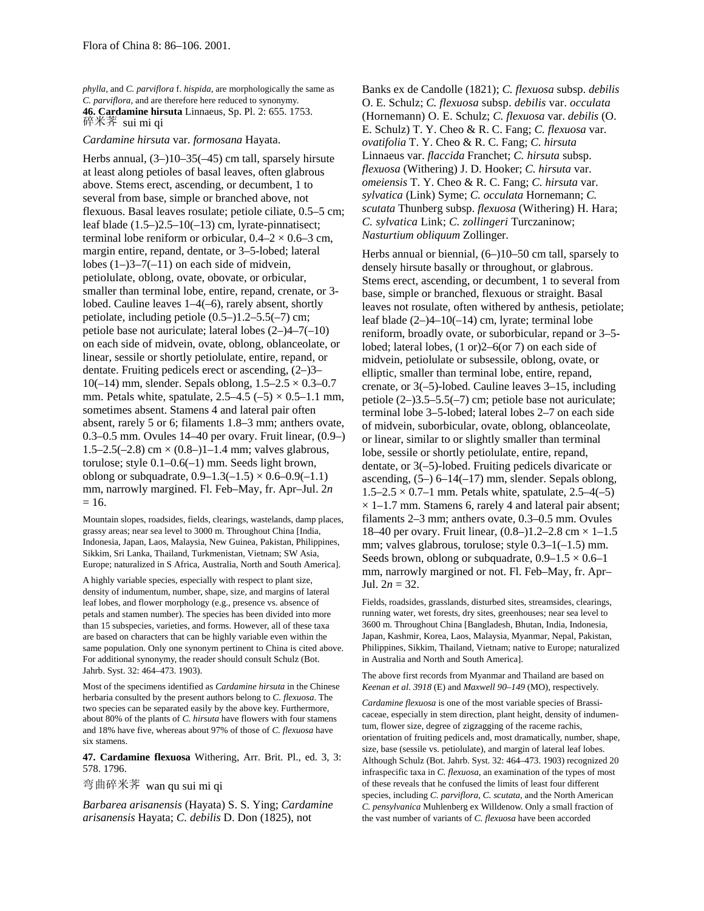*phylla,* and *C. parviflora* f. *hispida,* are morphologically the same as *C. parviflora,* and are therefore here reduced to synonymy. **46. Cardamine hirsuta** Linnaeus, Sp. Pl. 2: 655. 1753. 碎米荠 sui mi qi

*Cardamine hirsuta* var. *formosana* Hayata.

Herbs annual, (3–)10–35(–45) cm tall, sparsely hirsute at least along petioles of basal leaves, often glabrous above. Stems erect, ascending, or decumbent, 1 to several from base, simple or branched above, not flexuous. Basal leaves rosulate; petiole ciliate, 0.5–5 cm; leaf blade  $(1.5-2.5-10(-13)$  cm, lyrate-pinnatisect; terminal lobe reniform or orbicular,  $0.4-2 \times 0.6-3$  cm, margin entire, repand, dentate, or 3–5-lobed; lateral lobes  $(1-)3-7(-11)$  on each side of midvein, petiolulate, oblong, ovate, obovate, or orbicular, smaller than terminal lobe, entire, repand, crenate, or 3 lobed. Cauline leaves 1–4(–6), rarely absent, shortly petiolate, including petiole (0.5–)1.2–5.5(–7) cm; petiole base not auriculate; lateral lobes (2–)4–7(–10) on each side of midvein, ovate, oblong, oblanceolate, or linear, sessile or shortly petiolulate, entire, repand, or dentate. Fruiting pedicels erect or ascending, (2–)3– 10(-14) mm, slender. Sepals oblong,  $1.5-2.5 \times 0.3-0.7$ mm. Petals white, spatulate,  $2.5-4.5$  ( $-5$ )  $\times$  0.5-1.1 mm, sometimes absent. Stamens 4 and lateral pair often absent, rarely 5 or 6; filaments 1.8–3 mm; anthers ovate, 0.3–0.5 mm. Ovules 14–40 per ovary. Fruit linear, (0.9–) 1.5–2.5(–2.8) cm  $\times$  (0.8–)1–1.4 mm; valves glabrous, torulose; style 0.1–0.6(–1) mm. Seeds light brown, oblong or subquadrate,  $0.9-1.3(-1.5) \times 0.6-0.9(-1.1)$ mm, narrowly margined. Fl. Feb–May, fr. Apr–Jul. 2*n*  $= 16.$ 

Mountain slopes, roadsides, fields, clearings, wastelands, damp places, grassy areas; near sea level to 3000 m. Throughout China [India, Indonesia, Japan, Laos, Malaysia, New Guinea, Pakistan, Philippines, Sikkim, Sri Lanka, Thailand, Turkmenistan, Vietnam; SW Asia, Europe; naturalized in S Africa, Australia, North and South America].

A highly variable species, especially with respect to plant size, density of indumentum, number, shape, size, and margins of lateral leaf lobes, and flower morphology (e.g., presence vs. absence of petals and stamen number). The species has been divided into more than 15 subspecies, varieties, and forms. However, all of these taxa are based on characters that can be highly variable even within the same population. Only one synonym pertinent to China is cited above. For additional synonymy, the reader should consult Schulz (Bot. Jahrb. Syst. 32: 464–473. 1903).

Most of the specimens identified as *Cardamine hirsuta* in the Chinese herbaria consulted by the present authors belong to *C. flexuosa*. The two species can be separated easily by the above key. Furthermore, about 80% of the plants of *C. hirsuta* have flowers with four stamens and 18% have five, whereas about 97% of those of *C. flexuosa* have six stamens.

**47. Cardamine flexuosa** Withering, Arr. Brit. Pl., ed. 3, 3: 578. 1796.

弯曲碎米荠 wan qu sui mi qi

*Barbarea arisanensis* (Hayata) S. S. Ying; *Cardamine arisanensis* Hayata; *C. debilis* D. Don (1825), not

Banks ex de Candolle (1821); *C. flexuosa* subsp. *debilis* O. E. Schulz; *C. flexuosa* subsp. *debilis* var. *occulata* (Hornemann) O. E. Schulz; *C. flexuosa* var. *debilis* (O. E. Schulz) T. Y. Cheo & R. C. Fang; *C. flexuosa* var. *ovatifolia* T. Y. Cheo & R. C. Fang; *C. hirsuta* Linnaeus var. *flaccida* Franchet; *C. hirsuta* subsp. *flexuosa* (Withering) J. D. Hooker; *C. hirsuta* var. *omeiensis* T. Y. Cheo & R. C. Fang; *C. hirsuta* var. *sylvatica* (Link) Syme; *C. occulata* Hornemann; *C. scutata* Thunberg subsp. *flexuosa* (Withering) H. Hara; *C. sylvatica* Link; *C. zollingeri* Turczaninow; *Nasturtium obliquum* Zollinger.

Herbs annual or biennial, (6–)10–50 cm tall, sparsely to densely hirsute basally or throughout, or glabrous. Stems erect, ascending, or decumbent, 1 to several from base, simple or branched, flexuous or straight. Basal leaves not rosulate, often withered by anthesis, petiolate; leaf blade (2–)4–10(–14) cm, lyrate; terminal lobe reniform, broadly ovate, or suborbicular, repand or 3–5 lobed; lateral lobes, (1 or)2–6(or 7) on each side of midvein, petiolulate or subsessile, oblong, ovate, or elliptic, smaller than terminal lobe, entire, repand, crenate, or 3(–5)-lobed. Cauline leaves 3–15, including petiole (2–)3.5–5.5(–7) cm; petiole base not auriculate; terminal lobe 3–5-lobed; lateral lobes 2–7 on each side of midvein, suborbicular, ovate, oblong, oblanceolate, or linear, similar to or slightly smaller than terminal lobe, sessile or shortly petiolulate, entire, repand, dentate, or 3(–5)-lobed. Fruiting pedicels divaricate or ascending,  $(5-)$  6–14(–17) mm, slender. Sepals oblong,  $1.5-2.5 \times 0.7-1$  mm. Petals white, spatulate,  $2.5-4(-5)$  $\times$  1–1.7 mm. Stamens 6, rarely 4 and lateral pair absent; filaments 2–3 mm; anthers ovate, 0.3–0.5 mm. Ovules 18–40 per ovary. Fruit linear,  $(0.8–)1.2–2.8$  cm  $\times$  1–1.5 mm; valves glabrous, torulose; style 0.3–1(–1.5) mm. Seeds brown, oblong or subquadrate,  $0.9-1.5 \times 0.6-1$ mm, narrowly margined or not. Fl. Feb–May, fr. Apr– Jul.  $2n = 32$ .

Fields, roadsides, grasslands, disturbed sites, streamsides, clearings, running water, wet forests, dry sites, greenhouses; near sea level to 3600 m. Throughout China [Bangladesh, Bhutan, India, Indonesia, Japan, Kashmir, Korea, Laos, Malaysia, Myanmar, Nepal, Pakistan, Philippines, Sikkim, Thailand, Vietnam; native to Europe; naturalized in Australia and North and South America].

The above first records from Myanmar and Thailand are based on *Keenan et al. 3918* (E) and *Maxwell 90–149* (MO), respectively.

*Cardamine flexuosa* is one of the most variable species of Brassicaceae, especially in stem direction, plant height, density of indumentum, flower size, degree of zigzagging of the raceme rachis, orientation of fruiting pedicels and, most dramatically, number, shape, size, base (sessile vs. petiolulate), and margin of lateral leaf lobes. Although Schulz (Bot. Jahrb. Syst. 32: 464–473. 1903) recognized 20 infraspecific taxa in *C. flexuosa,* an examination of the types of most of these reveals that he confused the limits of least four different species, including *C. parviflora, C. scutata,* and the North American *C. pensylvanica* Muhlenberg ex Willdenow. Only a small fraction of the vast number of variants of *C. flexuosa* have been accorded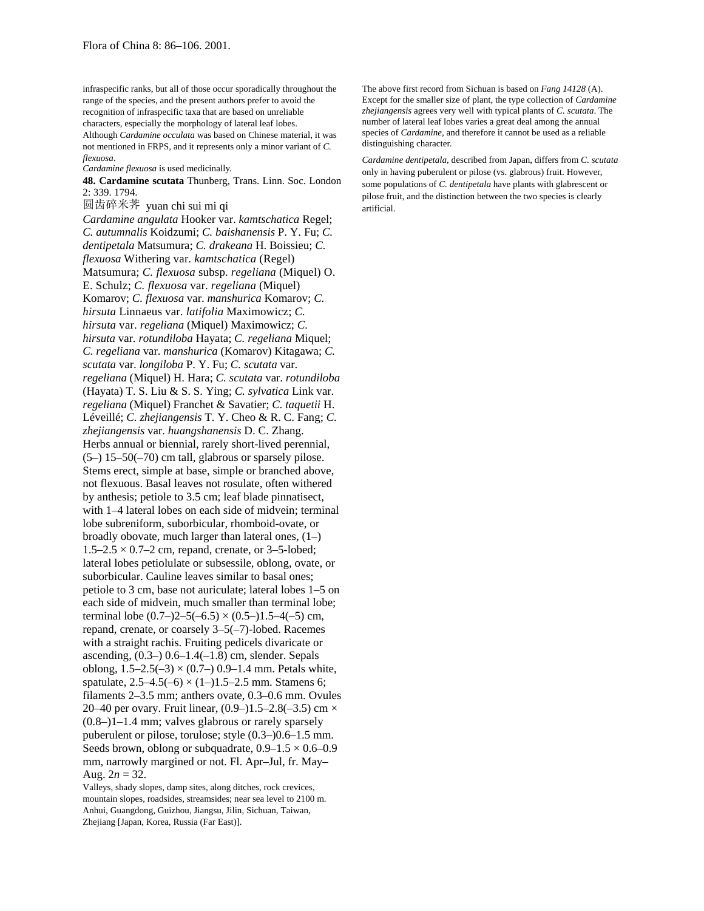infraspecific ranks, but all of those occur sporadically throughout the range of the species, and the present authors prefer to avoid the recognition of infraspecific taxa that are based on unreliable characters, especially the morphology of lateral leaf lobes. Although *Cardamine occulata* was based on Chinese material, it was not mentioned in FRPS, and it represents only a minor variant of *C. flexuosa*.

*Cardamine flexuosa* is used medicinally.

**48. Cardamine scutata** Thunberg, Trans. Linn. Soc. London 2: 339. 1794.

圆齿碎米荠 yuan chi sui mi qi

*Cardamine angulata* Hooker var. *kamtschatica* Regel; *C. autumnalis* Koidzumi; *C. baishanensis* P. Y. Fu; *C. dentipetala* Matsumura; *C. drakeana* H. Boissieu; *C. flexuosa* Withering var. *kamtschatica* (Regel) Matsumura; *C. flexuosa* subsp. *regeliana* (Miquel) O. E. Schulz; *C. flexuosa* var. *regeliana* (Miquel) Komarov; *C. flexuosa* var. *manshurica* Komarov; *C. hirsuta* Linnaeus var. *latifolia* Maximowicz; *C. hirsuta* var. *regeliana* (Miquel) Maximowicz; *C. hirsuta* var. *rotundiloba* Hayata; *C. regeliana* Miquel; *C. regeliana* var. *manshurica* (Komarov) Kitagawa; *C. scutata* var. *longiloba* P. Y. Fu; *C. scutata* var. *regeliana* (Miquel) H. Hara; *C. scutata* var. *rotundiloba* (Hayata) T. S. Liu & S. S. Ying; *C. sylvatica* Link var. *regeliana* (Miquel) Franchet & Savatier; *C. taquetii* H. Léveillé; *C. zhejiangensis* T. Y. Cheo & R. C. Fang; *C. zhejiangensis* var. *huangshanensis* D. C. Zhang. Herbs annual or biennial, rarely short-lived perennial,  $(5-)$  15–50(–70) cm tall, glabrous or sparsely pilose. Stems erect, simple at base, simple or branched above, not flexuous. Basal leaves not rosulate, often withered by anthesis; petiole to 3.5 cm; leaf blade pinnatisect, with 1–4 lateral lobes on each side of midvein; terminal lobe subreniform, suborbicular, rhomboid-ovate, or broadly obovate, much larger than lateral ones, (1–)  $1.5-2.5 \times 0.7-2$  cm, repand, crenate, or 3-5-lobed; lateral lobes petiolulate or subsessile, oblong, ovate, or suborbicular. Cauline leaves similar to basal ones; petiole to 3 cm, base not auriculate; lateral lobes 1–5 on each side of midvein, much smaller than terminal lobe; terminal lobe  $(0.7-22-5(-6.5) \times (0.5-11.5-4(-5))$  cm, repand, crenate, or coarsely 3–5(–7)-lobed. Racemes with a straight rachis. Fruiting pedicels divaricate or ascending,  $(0.3-)$  0.6–1.4(–1.8) cm, slender. Sepals oblong,  $1.5-2.5(-3) \times (0.7-) 0.9-1.4$  mm. Petals white, spatulate,  $2.5-4.5(-6) \times (1-)1.5-2.5$  mm. Stamens 6; filaments 2–3.5 mm; anthers ovate, 0.3–0.6 mm. Ovules 20–40 per ovary. Fruit linear,  $(0.9-)1.5-2.8(-3.5)$  cm  $\times$ (0.8–)1–1.4 mm; valves glabrous or rarely sparsely puberulent or pilose, torulose; style (0.3–)0.6–1.5 mm. Seeds brown, oblong or subquadrate,  $0.9-1.5 \times 0.6-0.9$ mm, narrowly margined or not. Fl. Apr–Jul, fr. May– Aug.  $2n = 32$ .

Valleys, shady slopes, damp sites, along ditches, rock crevices, mountain slopes, roadsides, streamsides; near sea level to 2100 m. Anhui, Guangdong, Guizhou, Jiangsu, Jilin, Sichuan, Taiwan, Zhejiang [Japan, Korea, Russia (Far East)].

The above first record from Sichuan is based on *Fang 14128* (A). Except for the smaller size of plant, the type collection of *Cardamine zhejiangensis* agrees very well with typical plants of *C. scutata*. The number of lateral leaf lobes varies a great deal among the annual species of *Cardamine,* and therefore it cannot be used as a reliable distinguishing character.

*Cardamine dentipetala,* described from Japan, differs from *C. scutata* only in having puberulent or pilose (vs. glabrous) fruit. However, some populations of *C. dentipetala* have plants with glabrescent or pilose fruit, and the distinction between the two species is clearly artificial.